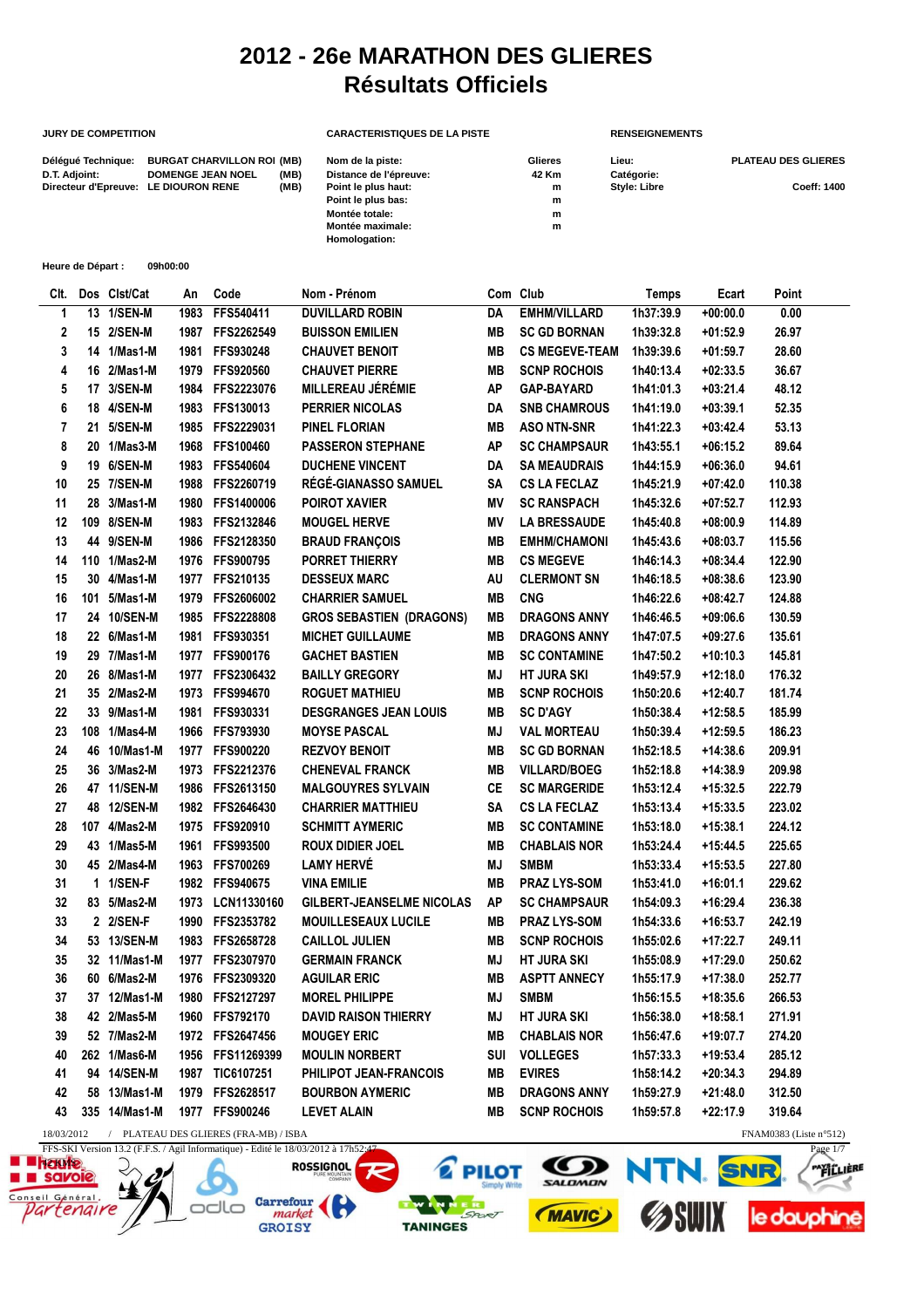## **2012 - 26e MARATHON DES GLIERES Résultats Officiels**

## **JURY DE COMPETITION CARACTERISTIQUES DE LA PISTE** RENSEIGNEMENTS Délégué Technique: BURGAT CHARVILLON ROI (MB) Nom de la piste: Glieres Lieu: Clieres Lieu: PLATEAU DES GLIERES **D.T. Adjoint:** DOMENGE JEAN NOEL (MB) Distance de l'épreuve: 42 Km Catégorie:<br>Directeur d'Epreuve: LE DIOURON RENE (MB) Point le plus haut: https://www.m.com/number/2010/2010 Directeur d'Epreuve: LE DIOURON RENE (MB) Point le plus haut: m m Style: Libre Coeff: 1400<br>Point le plus bas: m m **Point le plus bas:** m<br> **Montée totale:** m<br>
m **Montée totale: m Montée maximale: Homologation:**

| Heure de Départ : | 09h00:00 |
|-------------------|----------|
|                   |          |

| CIt.       |    | Dos Clst/Cat  | An   | Code                                  | Nom - Prénom                     |           | Com Club              | Temps     | Ecart      | Point                     |
|------------|----|---------------|------|---------------------------------------|----------------------------------|-----------|-----------------------|-----------|------------|---------------------------|
| 1          | 13 | 1/SEN-M       | 1983 | FFS540411                             | <b>DUVILLARD ROBIN</b>           | DA        | <b>EMHM/VILLARD</b>   | 1h37:39.9 | $+00:00.0$ | 0.00                      |
| 2          |    | 15 2/SEN-M    | 1987 | FFS2262549                            | <b>BUISSON EMILIEN</b>           | <b>MB</b> | <b>SC GD BORNAN</b>   | 1h39:32.8 | $+01:52.9$ | 26.97                     |
| 3          |    | 14 1/Mas1-M   | 1981 | FFS930248                             | <b>CHAUVET BENOIT</b>            | <b>MB</b> | <b>CS MEGEVE-TEAM</b> | 1h39:39.6 | $+01:59.7$ | 28.60                     |
| 4          | 16 | 2/Mas1-M      |      | 1979 FFS920560                        | <b>CHAUVET PIERRE</b>            | <b>MB</b> | <b>SCNP ROCHOIS</b>   | 1h40:13.4 | $+02:33.5$ | 36.67                     |
| 5          |    | 17 3/SEN-M    | 1984 | FFS2223076                            | <b>MILLEREAU JÉRÉMIE</b>         | <b>AP</b> | <b>GAP-BAYARD</b>     | 1h41:01.3 | $+03:21.4$ | 48.12                     |
| 6          |    | 18 4/SEN-M    | 1983 | FFS130013                             | <b>PERRIER NICOLAS</b>           | DA        | <b>SNB CHAMROUS</b>   | 1h41:19.0 | $+03:39.1$ | 52.35                     |
| 7          |    | 21 5/SEN-M    |      | 1985 FFS2229031                       | <b>PINEL FLORIAN</b>             | <b>MB</b> | <b>ASO NTN-SNR</b>    | 1h41:22.3 | $+03:42.4$ | 53.13                     |
| 8          |    | 20 1/Mas3-M   |      | 1968 FFS100460                        | <b>PASSERON STEPHANE</b>         | <b>AP</b> | <b>SC CHAMPSAUR</b>   | 1h43:55.1 | $+06:15.2$ | 89.64                     |
| 9          |    | 19 6/SEN-M    |      | 1983 FFS540604                        | <b>DUCHENE VINCENT</b>           | DA        | <b>SA MEAUDRAIS</b>   | 1h44:15.9 | $+06:36.0$ | 94.61                     |
| 10         |    | 25 7/SEN-M    |      | 1988 FFS2260719                       | RÉGÉ-GIANASSO SAMUEL             | <b>SA</b> | <b>CS LA FECLAZ</b>   | 1h45:21.9 | $+07:42.0$ | 110.38                    |
| 11         |    | 28 3/Mas1-M   | 1980 | FFS1400006                            | <b>POIROT XAVIER</b>             | <b>MV</b> | <b>SC RANSPACH</b>    | 1h45:32.6 | $+07:52.7$ | 112.93                    |
| 12         |    | 109 8/SEN-M   | 1983 | FFS2132846                            | <b>MOUGEL HERVE</b>              | <b>MV</b> | <b>LA BRESSAUDE</b>   | 1h45:40.8 | $+08:00.9$ | 114.89                    |
| 13         |    | 44 9/SEN-M    | 1986 | FFS2128350                            | <b>BRAUD FRANÇOIS</b>            | <b>MB</b> | <b>EMHM/CHAMONI</b>   | 1h45:43.6 | $+08:03.7$ | 115.56                    |
| 14         |    | 110 1/Mas2-M  |      | 1976 FFS900795                        | <b>PORRET THIERRY</b>            | MВ        | <b>CS MEGEVE</b>      | 1h46:14.3 | $+08:34.4$ | 122.90                    |
| 15         |    | 30 4/Mas1-M   |      | 1977 FFS210135                        | <b>DESSEUX MARC</b>              | AU        | <b>CLERMONT SN</b>    | 1h46:18.5 | $+08:38.6$ | 123.90                    |
| 16         |    | 101 5/Mas1-M  | 1979 | FFS2606002                            | <b>CHARRIER SAMUEL</b>           | <b>MB</b> | <b>CNG</b>            | 1h46:22.6 | $+08:42.7$ | 124.88                    |
| 17         |    | 24 10/SEN-M   |      | 1985 FFS2228808                       | <b>GROS SEBASTIEN (DRAGONS)</b>  | <b>MB</b> | <b>DRAGONS ANNY</b>   | 1h46:46.5 | $+09:06.6$ | 130.59                    |
| 18         |    | 22 6/Mas1-M   | 1981 | FFS930351                             | <b>MICHET GUILLAUME</b>          | MВ        | <b>DRAGONS ANNY</b>   | 1h47:07.5 | +09:27.6   | 135.61                    |
| 19         |    | 29 7/Mas1-M   |      | 1977 FFS900176                        | <b>GACHET BASTIEN</b>            | <b>MB</b> | <b>SC CONTAMINE</b>   | 1h47:50.2 | $+10:10.3$ | 145.81                    |
| 20         |    | 26 8/Mas1-M   |      | 1977 FFS2306432                       | <b>BAILLY GREGORY</b>            | MJ        | <b>HT JURA SKI</b>    | 1h49:57.9 | $+12:18.0$ | 176.32                    |
| 21         |    | 35 2/Mas2-M   |      | 1973 FFS994670                        | <b>ROGUET MATHIEU</b>            | MВ        | <b>SCNP ROCHOIS</b>   | 1h50:20.6 | +12:40.7   | 181.74                    |
| 22         |    | 33 9/Mas1-M   | 1981 | FFS930331                             | <b>DESGRANGES JEAN LOUIS</b>     | <b>MB</b> | <b>SC D'AGY</b>       | 1h50:38.4 | $+12:58.5$ | 185.99                    |
| 23         |    | 108 1/Mas4-M  |      | 1966 FFS793930                        | <b>MOYSE PASCAL</b>              | MJ        | <b>VAL MORTEAU</b>    | 1h50:39.4 | $+12:59.5$ | 186.23                    |
| 24         |    | 46 10/Mas1-M  | 1977 | <b>FFS900220</b>                      | <b>REZVOY BENOIT</b>             | <b>MB</b> | <b>SC GD BORNAN</b>   | 1h52:18.5 | +14:38.6   | 209.91                    |
| 25         |    | 36 3/Mas2-M   | 1973 | FFS2212376                            | <b>CHENEVAL FRANCK</b>           | <b>MB</b> | <b>VILLARD/BOEG</b>   | 1h52:18.8 | $+14:38.9$ | 209.98                    |
| 26         |    | 47 11/SEN-M   | 1986 | FFS2613150                            | <b>MALGOUYRES SYLVAIN</b>        | <b>CE</b> | <b>SC MARGERIDE</b>   | 1h53:12.4 | $+15:32.5$ | 222.79                    |
| 27         |    | 48 12/SEN-M   |      | 1982 FFS2646430                       | <b>CHARRIER MATTHIEU</b>         | <b>SA</b> | <b>CS LA FECLAZ</b>   | 1h53:13.4 | $+15:33.5$ | 223.02                    |
| 28         |    | 107 4/Mas2-M  |      | 1975 FFS920910                        | <b>SCHMITT AYMERIC</b>           | <b>MB</b> | <b>SC CONTAMINE</b>   | 1h53:18.0 | $+15:38.1$ | 224.12                    |
| 29         |    | 43 1/Mas5-M   | 1961 | FFS993500                             | <b>ROUX DIDIER JOEL</b>          | <b>MB</b> | <b>CHABLAIS NOR</b>   | 1h53:24.4 | $+15:44.5$ | 225.65                    |
| 30         |    | 45 2/Mas4-M   | 1963 | <b>FFS700269</b>                      | <b>LAMY HERVÉ</b>                | MJ        | <b>SMBM</b>           | 1h53:33.4 | +15:53.5   | 227.80                    |
| 31         |    | 1 1/SEN-F     |      | 1982 FFS940675                        | <b>VINA EMILIE</b>               | <b>MB</b> | PRAZ LYS-SOM          | 1h53:41.0 | +16:01.1   | 229.62                    |
| 32         |    | 83 5/Mas2-M   | 1973 | LCN11330160                           | <b>GILBERT-JEANSELME NICOLAS</b> | <b>AP</b> | <b>SC CHAMPSAUR</b>   | 1h54:09.3 | +16:29.4   | 236.38                    |
| 33         |    | 2 2/SEN-F     |      | 1990 FFS2353782                       | <b>MOUILLESEAUX LUCILE</b>       | <b>MB</b> | <b>PRAZ LYS-SOM</b>   | 1h54:33.6 | +16:53.7   | 242.19                    |
| 34         |    | 53 13/SEN-M   |      | 1983 FFS2658728                       | <b>CAILLOL JULIEN</b>            | <b>MB</b> | <b>SCNP ROCHOIS</b>   | 1h55:02.6 | $+17:22.7$ | 249.11                    |
| 35         |    | 32 11/Mas1-M  | 1977 | FFS2307970                            | <b>GERMAIN FRANCK</b>            | MJ        | <b>HT JURA SKI</b>    | 1h55:08.9 | +17:29.0   | 250.62                    |
| 36         |    | 60 6/Mas2-M   | 1976 | FFS2309320                            | <b>AGUILAR ERIC</b>              | MВ        | <b>ASPTT ANNECY</b>   | 1h55:17.9 | +17:38.0   | 252.77                    |
| 37         |    | 37 12/Mas1-M  |      | 1980 FFS2127297                       | <b>MOREL PHILIPPE</b>            | MJ        | <b>SMBM</b>           | 1h56:15.5 | +18:35.6   | 266.53                    |
| 38         |    | 42 2/Mas5-M   |      | 1960 FFS792170                        | <b>DAVID RAISON THIERRY</b>      | ΜJ        | <b>HT JURA SKI</b>    | 1h56:38.0 | $+18:58.1$ | 271.91                    |
| 39         |    | 52 7/Mas2-M   |      | 1972 FFS2647456                       | <b>MOUGEY ERIC</b>               | MВ        | <b>CHABLAIS NOR</b>   | 1h56:47.6 | +19:07.7   | 274.20                    |
| 40         |    | 262 1/Mas6-M  |      | 1956 FFS11269399                      | <b>MOULIN NORBERT</b>            | SUI       | <b>VOLLEGES</b>       | 1h57:33.3 | +19:53.4   | 285.12                    |
| 41         |    | 94 14/SEN-M   |      | 1987 TIC6107251                       | PHILIPOT JEAN-FRANCOIS           | MВ        | <b>EVIRES</b>         | 1h58:14.2 | $+20:34.3$ | 294.89                    |
| 42         |    | 58 13/Mas1-M  |      | 1979 FFS2628517                       | <b>BOURBON AYMERIC</b>           | MВ        | <b>DRAGONS ANNY</b>   | 1h59:27.9 | +21:48.0   | 312.50                    |
| 43         |    | 335 14/Mas1-M |      | 1977 FFS900246                        | <b>LEVET ALAIN</b>               | MВ        | <b>SCNP ROCHOIS</b>   | 1h59:57.8 | +22:17.9   | 319.64                    |
| 18/03/2012 |    |               |      | / PLATEAU DES GLIERES (FRA-MB) / ISBA |                                  |           |                       |           |            | FNAM0383 (Liste $n°512$ ) |

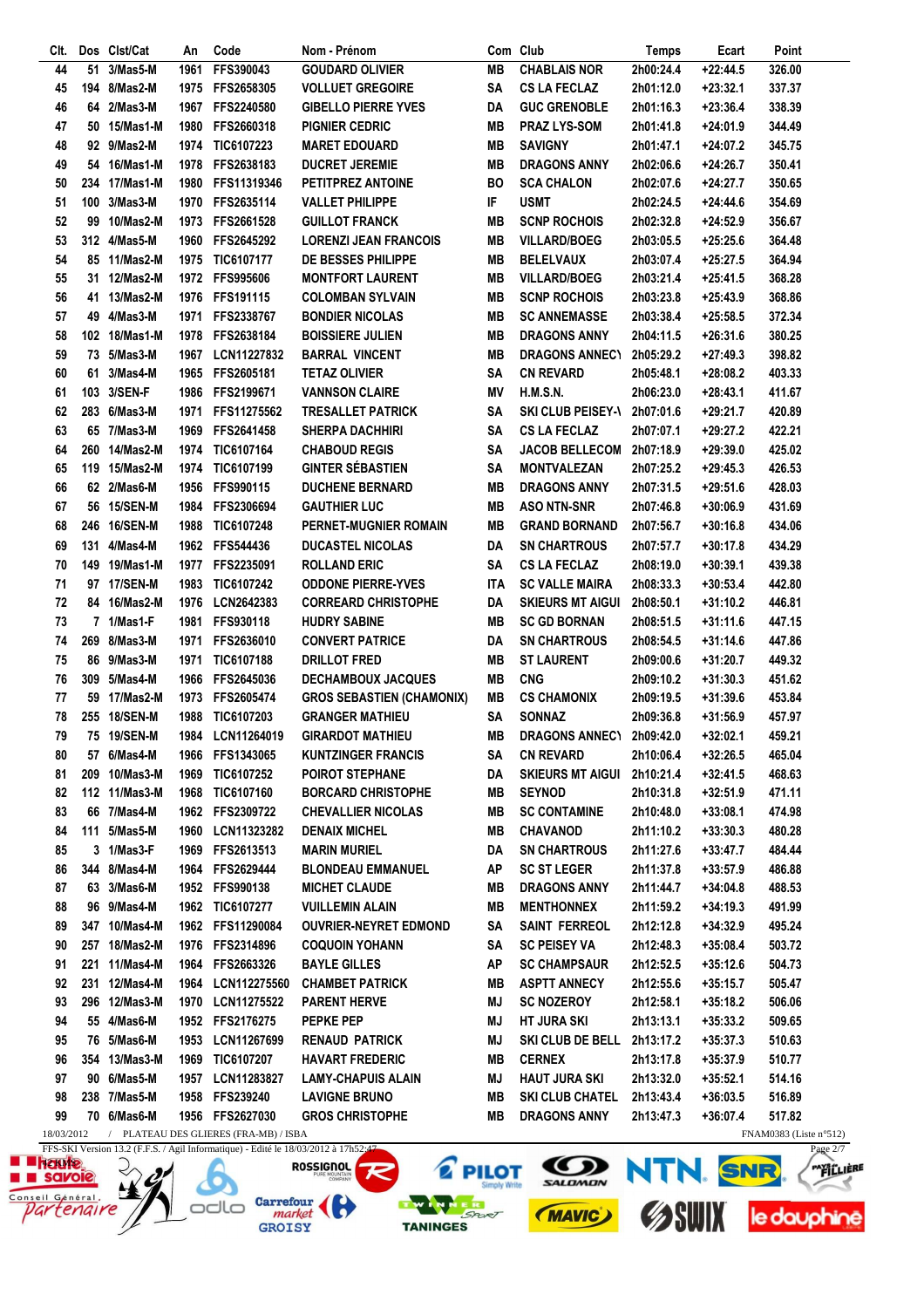| CIt.                      |    | Dos Clst/Cat  | An   | Code                                  | Nom - Prénom                         |           | Com Club                 | Temps     | Ecart      | Point                  |
|---------------------------|----|---------------|------|---------------------------------------|--------------------------------------|-----------|--------------------------|-----------|------------|------------------------|
| 44                        | 51 | 3/Mas5-M      | 1961 | FFS390043                             | <b>GOUDARD OLIVIER</b>               | <b>MB</b> | <b>CHABLAIS NOR</b>      | 2h00:24.4 | $+22:44.5$ | 326.00                 |
| 45                        |    | 194 8/Mas2-M  | 1975 | FFS2658305                            | <b>VOLLUET GREGOIRE</b>              | <b>SA</b> | <b>CS LA FECLAZ</b>      | 2h01:12.0 | +23:32.1   | 337.37                 |
| 46                        |    | 64 2/Mas3-M   | 1967 | FFS2240580                            | <b>GIBELLO PIERRE YVES</b>           | DA        | <b>GUC GRENOBLE</b>      | 2h01:16.3 | $+23:36.4$ | 338.39                 |
| 47                        |    | 50 15/Mas1-M  | 1980 | FFS2660318                            | <b>PIGNIER CEDRIC</b>                | MВ        | <b>PRAZ LYS-SOM</b>      | 2h01:41.8 | $+24:01.9$ | 344.49                 |
| 48                        |    | 92 9/Mas2-M   |      | 1974 TIC6107223                       | <b>MARET EDOUARD</b>                 | MВ        | <b>SAVIGNY</b>           | 2h01:47.1 | $+24:07.2$ | 345.75                 |
| 49                        |    | 54 16/Mas1-M  |      | 1978 FFS2638183                       | <b>DUCRET JEREMIE</b>                | MВ        | <b>DRAGONS ANNY</b>      | 2h02:06.6 | +24:26.7   | 350.41                 |
| 50                        |    | 234 17/Mas1-M | 1980 | FFS11319346                           | PETITPREZ ANTOINE                    | <b>BO</b> | <b>SCA CHALON</b>        | 2h02:07.6 | +24:27.7   | 350.65                 |
| 51                        |    | 100 3/Mas3-M  | 1970 | FFS2635114                            | <b>VALLET PHILIPPE</b>               | IF        | <b>USMT</b>              | 2h02:24.5 | $+24:44.6$ | 354.69                 |
| 52                        |    | 99 10/Mas2-M  | 1973 | FFS2661528                            | <b>GUILLOT FRANCK</b>                | MВ        | <b>SCNP ROCHOIS</b>      | 2h02:32.8 | +24:52.9   | 356.67                 |
|                           |    |               |      |                                       |                                      |           |                          |           |            |                        |
| 53                        |    | 312 4/Mas5-M  | 1960 | FFS2645292                            | <b>LORENZI JEAN FRANCOIS</b>         | MВ        | <b>VILLARD/BOEG</b>      | 2h03:05.5 | $+25:25.6$ | 364.48                 |
| 54                        |    | 85 11/Mas2-M  |      | 1975 TIC6107177                       | DE BESSES PHILIPPE                   | MВ        | <b>BELELVAUX</b>         | 2h03:07.4 | $+25:27.5$ | 364.94                 |
| 55                        |    | 31 12/Mas2-M  |      | 1972 FFS995606                        | <b>MONTFORT LAURENT</b>              | MВ        | <b>VILLARD/BOEG</b>      | 2h03:21.4 | $+25:41.5$ | 368.28                 |
| 56                        |    | 41 13/Mas2-M  |      | 1976 FFS191115                        | <b>COLOMBAN SYLVAIN</b>              | MВ        | <b>SCNP ROCHOIS</b>      | 2h03:23.8 | $+25:43.9$ | 368.86                 |
| 57                        |    | 49 4/Mas3-M   | 1971 | FFS2338767                            | <b>BONDIER NICOLAS</b>               | MВ        | <b>SC ANNEMASSE</b>      | 2h03:38.4 | $+25:58.5$ | 372.34                 |
| 58                        |    | 102 18/Mas1-M | 1978 | FFS2638184                            | <b>BOISSIERE JULIEN</b>              | MВ        | <b>DRAGONS ANNY</b>      | 2h04:11.5 | $+26:31.6$ | 380.25                 |
| 59                        |    | 73 5/Mas3-M   | 1967 | LCN11227832                           | <b>BARRAL VINCENT</b>                | MВ        | <b>DRAGONS ANNECY</b>    | 2h05:29.2 | +27:49.3   | 398.82                 |
| 60                        | 61 | 3/Mas4-M      | 1965 | FFS2605181                            | <b>TETAZ OLIVIER</b>                 | <b>SA</b> | <b>CN REVARD</b>         | 2h05:48.1 | $+28:08.2$ | 403.33                 |
| 61                        |    | 103 3/SEN-F   |      | 1986 FFS2199671                       | <b>VANNSON CLAIRE</b>                | ΜV        | H.M.S.N.                 | 2h06:23.0 | $+28:43.1$ | 411.67                 |
| 62                        |    | 283 6/Mas3-M  | 1971 | FFS11275562                           | <b>TRESALLET PATRICK</b>             | <b>SA</b> | <b>SKI CLUB PEISEY-V</b> | 2h07:01.6 | +29:21.7   | 420.89                 |
| 63                        |    | 65 7/Mas3-M   | 1969 | FFS2641458                            | <b>SHERPA DACHHIRI</b>               | <b>SA</b> | <b>CS LA FECLAZ</b>      | 2h07:07.1 | $+29:27.2$ | 422.21                 |
| 64                        |    | 260 14/Mas2-M |      | 1974 TIC6107164                       | <b>CHABOUD REGIS</b>                 | SΑ        | <b>JACOB BELLECOM</b>    | 2h07:18.9 | $+29:39.0$ | 425.02                 |
| 65                        |    | 119 15/Mas2-M | 1974 | TIC6107199                            | <b>GINTER SÉBASTIEN</b>              | SΑ        | <b>MONTVALEZAN</b>       | 2h07:25.2 | $+29:45.3$ | 426.53                 |
|                           |    | 62 2/Mas6-M   |      | FFS990115                             | <b>DUCHENE BERNARD</b>               | MВ        | <b>DRAGONS ANNY</b>      |           |            |                        |
| 66                        |    |               | 1956 |                                       |                                      |           |                          | 2h07:31.5 | $+29:51.6$ | 428.03                 |
| 67                        |    | 56 15/SEN-M   | 1984 | FFS2306694                            | <b>GAUTHIER LUC</b>                  | MВ        | <b>ASO NTN-SNR</b>       | 2h07:46.8 | $+30:06.9$ | 431.69                 |
| 68                        |    | 246 16/SEN-M  | 1988 | <b>TIC6107248</b>                     | PERNET-MUGNIER ROMAIN                | MВ        | <b>GRAND BORNAND</b>     | 2h07:56.7 | $+30:16.8$ | 434.06                 |
| 69                        |    | 131 4/Mas4-M  |      | 1962 FFS544436                        | <b>DUCASTEL NICOLAS</b>              | DA        | <b>SN CHARTROUS</b>      | 2h07:57.7 | +30:17.8   | 434.29                 |
| 70                        |    | 149 19/Mas1-M | 1977 | FFS2235091                            | <b>ROLLAND ERIC</b>                  | <b>SA</b> | <b>CS LA FECLAZ</b>      | 2h08:19.0 | $+30:39.1$ | 439.38                 |
| 71                        |    | 97 17/SEN-M   | 1983 | <b>TIC6107242</b>                     | <b>ODDONE PIERRE-YVES</b>            | ITA       | <b>SC VALLE MAIRA</b>    | 2h08:33.3 | $+30:53.4$ | 442.80                 |
| 72                        |    | 84 16/Mas2-M  | 1976 | LCN2642383                            | <b>CORREARD CHRISTOPHE</b>           | DA        | <b>SKIEURS MT AIGUI</b>  | 2h08:50.1 | $+31:10.2$ | 446.81                 |
| 73                        |    | 7 1/Mas1-F    | 1981 | FFS930118                             | <b>HUDRY SABINE</b>                  | MВ        | <b>SC GD BORNAN</b>      | 2h08:51.5 | $+31:11.6$ | 447.15                 |
| 74                        |    | 269 8/Mas3-M  | 1971 | FFS2636010                            | <b>CONVERT PATRICE</b>               | DA        | <b>SN CHARTROUS</b>      | 2h08:54.5 | $+31:14.6$ | 447.86                 |
| 75                        |    | 86 9/Mas3-M   | 1971 | TIC6107188                            | <b>DRILLOT FRED</b>                  | MВ        | <b>ST LAURENT</b>        | 2h09:00.6 | $+31:20.7$ | 449.32                 |
| 76                        |    | 309 5/Mas4-M  | 1966 | FFS2645036                            | <b>DECHAMBOUX JACQUES</b>            | <b>MB</b> | <b>CNG</b>               | 2h09:10.2 | $+31:30.3$ | 451.62                 |
| 77                        |    | 59 17/Mas2-M  | 1973 | FFS2605474                            | <b>GROS SEBASTIEN (CHAMONIX)</b>     | MВ        | <b>CS CHAMONIX</b>       | 2h09:19.5 | $+31:39.6$ | 453.84                 |
| 78                        |    | 255 18/SEN-M  | 1988 | TIC6107203                            | <b>GRANGER MATHIEU</b>               | SΑ        | <b>SONNAZ</b>            | 2h09:36.8 | $+31:56.9$ | 457.97                 |
| 79                        |    | 75 19/SEN-M   | 1984 | LCN11264019                           | <b>GIRARDOT MATHIEU</b>              | MВ        | <b>DRAGONS ANNECY</b>    | 2h09:42.0 | $+32:02.1$ | 459.21                 |
| 80                        |    | 57 6/Mas4-M   |      | 1966 FFS1343065                       | <b>KUNTZINGER FRANCIS</b>            | SΑ        | <b>CN REVARD</b>         | 2h10:06.4 | $+32:26.5$ | 465.04                 |
|                           |    |               |      |                                       |                                      |           |                          |           |            |                        |
| 81                        |    | 209 10/Mas3-M | 1969 | <b>TIC6107252</b>                     | <b>POIROT STEPHANE</b>               | DA        | <b>SKIEURS MT AIGUI</b>  | 2h10:21.4 | $+32:41.5$ | 468.63                 |
| 82                        |    | 112 11/Mas3-M |      | 1968 TIC6107160                       | <b>BORCARD CHRISTOPHE</b>            | MВ        | <b>SEYNOD</b>            | 2h10:31.8 | $+32:51.9$ | 471.11                 |
| 83                        |    | 66 7/Mas4-M   |      | 1962 FFS2309722                       | <b>CHEVALLIER NICOLAS</b>            | MВ        | <b>SC CONTAMINE</b>      | 2h10:48.0 | $+33:08.1$ | 474.98                 |
| 84                        |    | 111 5/Mas5-M  | 1960 | LCN11323282                           | <b>DENAIX MICHEL</b>                 | MВ        | <b>CHAVANOD</b>          | 2h11:10.2 | $+33:30.3$ | 480.28                 |
| 85                        |    | 3 1/Mas3-F    | 1969 | FFS2613513                            | <b>MARIN MURIEL</b>                  | DA        | <b>SN CHARTROUS</b>      | 2h11:27.6 | $+33:47.7$ | 484.44                 |
| 86                        |    | 344 8/Mas4-M  | 1964 | FFS2629444                            | <b>BLONDEAU EMMANUEL</b>             | ΑP        | <b>SC ST LEGER</b>       | 2h11:37.8 | $+33:57.9$ | 486.88                 |
| 87                        |    | 63 3/Mas6-M   |      | 1952 FFS990138                        | <b>MICHET CLAUDE</b>                 | MВ        | <b>DRAGONS ANNY</b>      | 2h11:44.7 | $+34:04.8$ | 488.53                 |
| 88                        |    | 96 9/Mas4-M   |      | 1962 TIC6107277                       | <b>VUILLEMIN ALAIN</b>               | MВ        | <b>MENTHONNEX</b>        | 2h11:59.2 | $+34:19.3$ | 491.99                 |
| 89                        |    | 347 10/Mas4-M |      | 1962 FFS11290084                      | <b>OUVRIER-NEYRET EDMOND</b>         | SA        | <b>SAINT FERREOL</b>     | 2h12:12.8 | $+34:32.9$ | 495.24                 |
| 90                        |    | 257 18/Mas2-M |      | 1976 FFS2314896                       | <b>COQUOIN YOHANN</b>                | SA        | <b>SC PEISEY VA</b>      | 2h12:48.3 | $+35:08.4$ | 503.72                 |
| 91                        |    | 221 11/Mas4-M |      | 1964 FFS2663326                       | <b>BAYLE GILLES</b>                  | ΑP        | <b>SC CHAMPSAUR</b>      | 2h12:52.5 | $+35:12.6$ | 504.73                 |
| 92                        |    | 231 12/Mas4-M |      | 1964 LCN112275560                     | <b>CHAMBET PATRICK</b>               | MВ        | <b>ASPTT ANNECY</b>      | 2h12:55.6 | $+35:15.7$ | 505.47                 |
| 93                        |    | 296 12/Mas3-M |      | 1970 LCN11275522                      | <b>PARENT HERVE</b>                  | MJ        | <b>SC NOZEROY</b>        | 2h12:58.1 | $+35:18.2$ | 506.06                 |
| 94                        |    | 55 4/Mas6-M   |      | 1952 FFS2176275                       | PEPKE PEP                            | MJ        | <b>HT JURA SKI</b>       | 2h13:13.1 | $+35:33.2$ | 509.65                 |
| 95                        |    | 76 5/Mas6-M   |      | 1953 LCN11267699                      | <b>RENAUD PATRICK</b>                | ΜJ        | <b>SKI CLUB DE BELL</b>  | 2h13:17.2 | $+35:37.3$ | 510.63                 |
|                           |    |               |      |                                       |                                      |           |                          |           |            |                        |
| 96                        |    | 354 13/Mas3-M |      | 1969 TIC6107207                       | <b>HAVART FREDERIC</b>               | MВ        | <b>CERNEX</b>            | 2h13:17.8 | $+35:37.9$ | 510.77                 |
| 97                        |    | 90 6/Mas5-M   |      | 1957 LCN11283827                      | <b>LAMY-CHAPUIS ALAIN</b>            | MJ        | <b>HAUT JURA SKI</b>     | 2h13:32.0 | $+35:52.1$ | 514.16                 |
| 98                        |    | 238 7/Mas5-M  |      | 1958 FFS239240                        | <b>LAVIGNE BRUNO</b>                 | MВ        | <b>SKI CLUB CHATEL</b>   | 2h13:43.4 | $+36:03.5$ | 516.89                 |
| 99                        |    | 70 6/Mas6-M   |      | 1956 FFS2627030                       | <b>GROS CHRISTOPHE</b>               | MВ        | <b>DRAGONS ANNY</b>      | 2h13:47.3 | $+36:07.4$ | 517.82                 |
| 18/03/2012<br>EEC CIZIAL. |    |               |      | / PLATEAU DES GLIERES (FRA-MB) / ISBA | $\sim$ F.C. (1.10/02/0010 ) 17650.47 |           |                          |           |            | FNAM0383 (Liste n°512) |

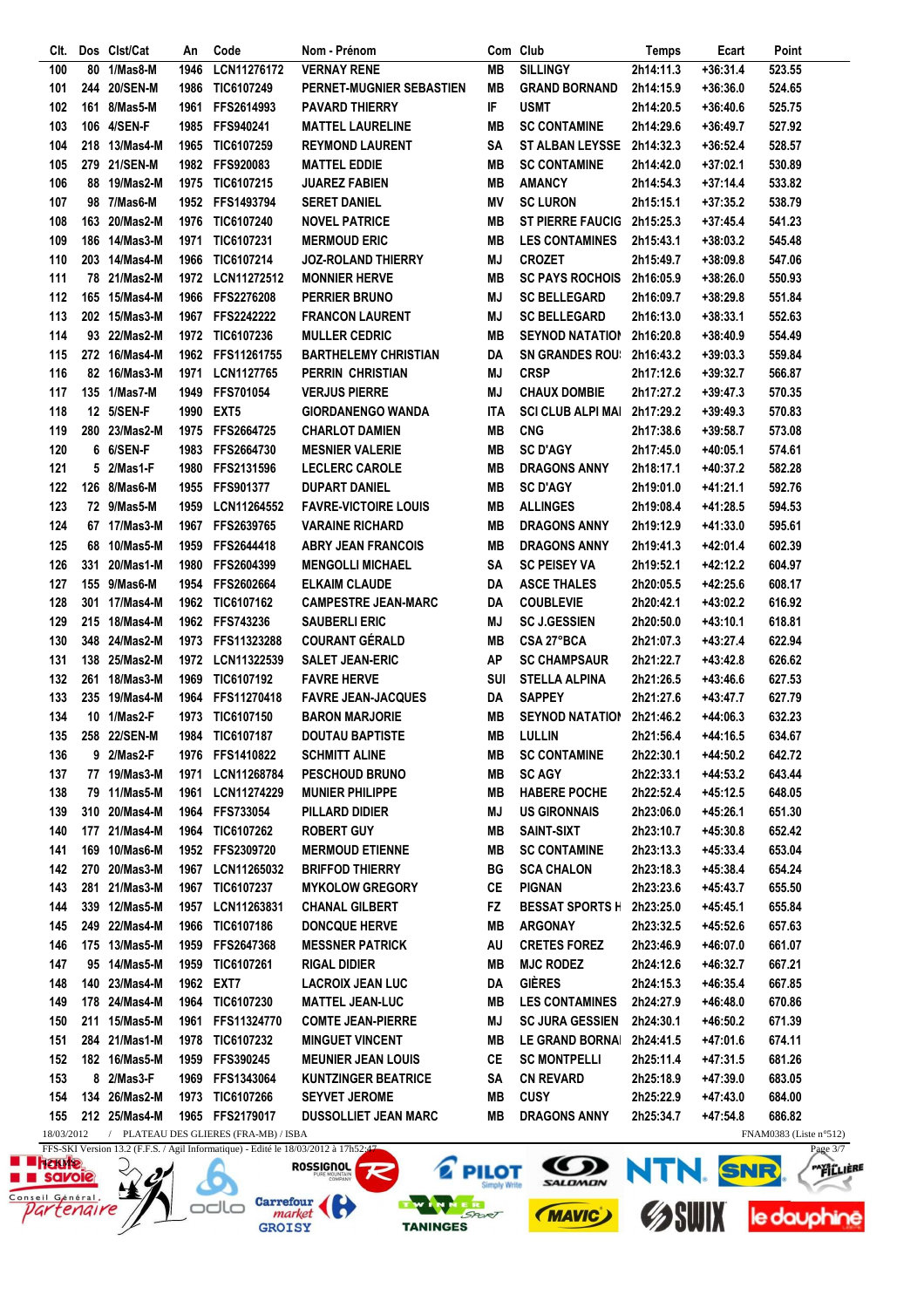| Clt.       |     | Dos Clst/Cat  | An   | Code                                  | Nom - Prénom                |            | Com Club                   | <b>Temps</b> | Ecart      | Point                            |
|------------|-----|---------------|------|---------------------------------------|-----------------------------|------------|----------------------------|--------------|------------|----------------------------------|
| 100        | 80  | 1/Mas8-M      | 1946 | LCN11276172                           | <b>VERNAY RENE</b>          | <b>MB</b>  | <b>SILLINGY</b>            | 2h14:11.3    | $+36:31.4$ | 523.55                           |
| 101        |     | 244 20/SEN-M  | 1986 | TIC6107249                            | PERNET-MUGNIER SEBASTIEN    | <b>MB</b>  | <b>GRAND BORNAND</b>       | 2h14:15.9    | +36:36.0   | 524.65                           |
| 102        | 161 | 8/Mas5-M      | 1961 | FFS2614993                            | <b>PAVARD THIERRY</b>       | IF         | <b>USMT</b>                | 2h14:20.5    | +36:40.6   | 525.75                           |
| 103        |     | 106 4/SEN-F   |      | 1985 FFS940241                        | <b>MATTEL LAURELINE</b>     | <b>MB</b>  | <b>SC CONTAMINE</b>        | 2h14:29.6    | $+36:49.7$ | 527.92                           |
| 104        |     | 218 13/Mas4-M | 1965 | <b>TIC6107259</b>                     | <b>REYMOND LAURENT</b>      | SΑ         | <b>ST ALBAN LEYSSE</b>     | 2h14:32.3    | $+36:52.4$ | 528.57                           |
| 105        |     | 279 21/SEN-M  |      | 1982 FFS920083                        | <b>MATTEL EDDIE</b>         | MВ         | <b>SC CONTAMINE</b>        | 2h14:42.0    | +37:02.1   | 530.89                           |
| 106        |     | 88 19/Mas2-M  |      | 1975 TIC6107215                       | <b>JUAREZ FABIEN</b>        | MВ         | <b>AMANCY</b>              | 2h14:54.3    | $+37:14.4$ | 533.82                           |
| 107        |     | 98 7/Mas6-M   |      | 1952 FFS1493794                       | <b>SERET DANIEL</b>         | ΜV         | <b>SC LURON</b>            |              |            |                                  |
|            |     |               |      |                                       |                             |            |                            | 2h15:15.1    | +37:35.2   | 538.79                           |
| 108        |     | 163 20/Mas2-M | 1976 | <b>TIC6107240</b>                     | <b>NOVEL PATRICE</b>        | MВ         | ST PIERRE FAUCIG 2h15:25.3 |              | $+37:45.4$ | 541.23                           |
| 109        |     | 186 14/Mas3-M | 1971 | TIC6107231                            | <b>MERMOUD ERIC</b>         | MВ         | <b>LES CONTAMINES</b>      | 2h15:43.1    | $+38:03.2$ | 545.48                           |
| 110        |     | 203 14/Mas4-M | 1966 | TIC6107214                            | <b>JOZ-ROLAND THIERRY</b>   | MJ         | <b>CROZET</b>              | 2h15:49.7    | +38:09.8   | 547.06                           |
| 111        |     | 78 21/Mas2-M  | 1972 | <b>LCN11272512</b>                    | <b>MONNIER HERVE</b>        | <b>MB</b>  | <b>SC PAYS ROCHOIS</b>     | 2h16:05.9    | $+38:26.0$ | 550.93                           |
| 112        |     | 165 15/Mas4-M | 1966 | <b>FFS2276208</b>                     | PERRIER BRUNO               | MJ         | <b>SC BELLEGARD</b>        | 2h16:09.7    | +38:29.8   | 551.84                           |
| 113        |     | 202 15/Mas3-M |      | 1967 FFS2242222                       | <b>FRANCON LAURENT</b>      | MJ         | <b>SC BELLEGARD</b>        | 2h16:13.0    | $+38:33.1$ | 552.63                           |
| 114        |     | 93 22/Mas2-M  |      | 1972 TIC6107236                       | <b>MULLER CEDRIC</b>        | MВ         | <b>SEYNOD NATATION</b>     | 2h16:20.8    | +38:40.9   | 554.49                           |
| 115        |     | 272 16/Mas4-M |      | 1962 FFS11261755                      | <b>BARTHELEMY CHRISTIAN</b> | DA         | <b>SN GRANDES ROU:</b>     | 2h16:43.2    | +39:03.3   | 559.84                           |
| 116        |     | 82 16/Mas3-M  | 1971 | LCN1127765                            | <b>PERRIN CHRISTIAN</b>     | ΜJ         | <b>CRSP</b>                | 2h17:12.6    | +39:32.7   | 566.87                           |
| 117        |     | 135 1/Mas7-M  | 1949 | FFS701054                             | <b>VERJUS PIERRE</b>        | ΜJ         | <b>CHAUX DOMBIE</b>        | 2h17:27.2    | +39:47.3   | 570.35                           |
| 118        |     | 12 5/SEN-F    |      | 1990 EXT5                             | <b>GIORDANENGO WANDA</b>    | <b>ITA</b> | <b>SCI CLUB ALPI MAI</b>   | 2h17:29.2    | +39:49.3   | 570.83                           |
| 119        |     | 280 23/Mas2-M |      | 1975 FFS2664725                       | <b>CHARLOT DAMIEN</b>       | MВ         | <b>CNG</b>                 | 2h17:38.6    | +39:58.7   | 573.08                           |
| 120        |     | 6 6/SEN-F     |      | 1983 FFS2664730                       | <b>MESNIER VALERIE</b>      | MВ         | <b>SC D'AGY</b>            | 2h17:45.0    | +40:05.1   | 574.61                           |
| 121        |     | 5 2/Mas1-F    | 1980 | FFS2131596                            | <b>LECLERC CAROLE</b>       | MВ         | <b>DRAGONS ANNY</b>        |              |            |                                  |
|            |     |               |      |                                       |                             |            |                            | 2h18:17.1    | +40:37.2   | 582.28                           |
| 122        |     | 126 8/Mas6-M  | 1955 | <b>FFS901377</b>                      | <b>DUPART DANIEL</b>        | MВ         | <b>SC D'AGY</b>            | 2h19:01.0    | +41:21.1   | 592.76                           |
| 123        |     | 72 9/Mas5-M   | 1959 | LCN11264552                           | <b>FAVRE-VICTOIRE LOUIS</b> | MВ         | <b>ALLINGES</b>            | 2h19:08.4    | +41:28.5   | 594.53                           |
| 124        |     | 67 17/Mas3-M  | 1967 | FFS2639765                            | <b>VARAINE RICHARD</b>      | <b>MB</b>  | <b>DRAGONS ANNY</b>        | 2h19:12.9    | +41:33.0   | 595.61                           |
| 125        |     | 68 10/Mas5-M  | 1959 | FFS2644418                            | <b>ABRY JEAN FRANCOIS</b>   | MВ         | <b>DRAGONS ANNY</b>        | 2h19:41.3    | +42:01.4   | 602.39                           |
| 126        | 331 | 20/Mas1-M     | 1980 | <b>FFS2604399</b>                     | <b>MENGOLLI MICHAEL</b>     | SΑ         | <b>SC PEISEY VA</b>        | 2h19:52.1    | +42:12.2   | 604.97                           |
| 127        |     | 155 9/Mas6-M  | 1954 | FFS2602664                            | <b>ELKAIM CLAUDE</b>        | DA         | <b>ASCE THALES</b>         | 2h20:05.5    | +42:25.6   | 608.17                           |
| 128        |     | 301 17/Mas4-M |      | 1962 TIC6107162                       | <b>CAMPESTRE JEAN-MARC</b>  | DA         | <b>COUBLEVIE</b>           | 2h20:42.1    | +43:02.2   | 616.92                           |
| 129        |     | 215 18/Mas4-M |      | 1962 FFS743236                        | <b>SAUBERLI ERIC</b>        | MJ         | <b>SC J.GESSIEN</b>        | 2h20:50.0    | $+43:10.1$ | 618.81                           |
| 130        |     | 348 24/Mas2-M |      | 1973 FFS11323288                      | <b>COURANT GÉRALD</b>       | <b>MB</b>  | CSA 27°BCA                 | 2h21:07.3    | +43:27.4   | 622.94                           |
| 131        |     | 138 25/Mas2-M |      | 1972 LCN11322539                      | <b>SALET JEAN-ERIC</b>      | <b>AP</b>  | <b>SC CHAMPSAUR</b>        | 2h21:22.7    | +43:42.8   | 626.62                           |
| 132        |     | 261 18/Mas3-M | 1969 | TIC6107192                            | <b>FAVRE HERVE</b>          | SUI        | <b>STELLA ALPINA</b>       | 2h21:26.5    | +43:46.6   | 627.53                           |
| 133        |     | 235 19/Mas4-M | 1964 | FFS11270418                           | <b>FAVRE JEAN-JACQUES</b>   | DA         | <b>SAPPEY</b>              | 2h21:27.6    | +43:47.7   | 627.79                           |
| 134        |     | 10 1/Mas2-F   | 1973 | TIC6107150                            | <b>BARON MARJORIE</b>       | <b>MB</b>  | <b>SEYNOD NATATION</b>     | 2h21:46.2    | +44:06.3   | 632.23                           |
| 135        |     | 258 22/SEN-M  | 1984 | TIC6107187                            | <b>DOUTAU BAPTISTE</b>      | MВ         | <b>LULLIN</b>              | 2h21:56.4    | +44:16.5   | 634.67                           |
| 136        |     | 9 2/Mas2-F    |      | 1976 FFS1410822                       | <b>SCHMITT ALINE</b>        | MВ         | <b>SC CONTAMINE</b>        | 2h22:30.1    | +44:50.2   | 642.72                           |
|            |     |               |      | 1971 LCN11268784                      |                             |            |                            |              |            |                                  |
| 137        |     | 77 19/Mas3-M  |      |                                       | <b>PESCHOUD BRUNO</b>       | MВ         | <b>SC AGY</b>              | 2h22:33.1    | +44:53.2   | 643.44                           |
| 138        |     | 79 11/Mas5-M  |      | 1961 LCN11274229                      | <b>MUNIER PHILIPPE</b>      | MВ         | <b>HABERE POCHE</b>        | 2h22:52.4    | +45:12.5   | 648.05                           |
| 139        |     | 310 20/Mas4-M |      | 1964 FFS733054                        | PILLARD DIDIER              | MJ         | <b>US GIRONNAIS</b>        | 2h23:06.0    | +45:26.1   | 651.30                           |
| 140        |     | 177 21/Mas4-M |      | 1964 TIC6107262                       | <b>ROBERT GUY</b>           | MВ         | <b>SAINT-SIXT</b>          | 2h23:10.7    | +45:30.8   | 652.42                           |
| 141        |     | 169 10/Mas6-M |      | 1952 FFS2309720                       | <b>MERMOUD ETIENNE</b>      | MВ         | <b>SC CONTAMINE</b>        | 2h23:13.3    | +45:33.4   | 653.04                           |
| 142        |     | 270 20/Mas3-M |      | 1967 LCN11265032                      | <b>BRIFFOD THIERRY</b>      | ВG         | <b>SCA CHALON</b>          | 2h23:18.3    | +45:38.4   | 654.24                           |
| 143        |     | 281 21/Mas3-M |      | 1967 TIC6107237                       | <b>MYKOLOW GREGORY</b>      | CЕ         | <b>PIGNAN</b>              | 2h23:23.6    | +45:43.7   | 655.50                           |
| 144        |     | 339 12/Mas5-M | 1957 | LCN11263831                           | <b>CHANAL GILBERT</b>       | FZ.        | <b>BESSAT SPORTS H</b>     | 2h23:25.0    | +45:45.1   | 655.84                           |
| 145        |     | 249 22/Mas4-M | 1966 | <b>TIC6107186</b>                     | <b>DONCQUE HERVE</b>        | MВ         | <b>ARGONAY</b>             | 2h23:32.5    | +45:52.6   | 657.63                           |
| 146        |     | 175 13/Mas5-M | 1959 | <b>FFS2647368</b>                     | <b>MESSNER PATRICK</b>      | AU         | <b>CRETES FOREZ</b>        | 2h23:46.9    | +46:07.0   | 661.07                           |
| 147        |     | 95 14/Mas5-M  |      | 1959 TIC6107261                       | <b>RIGAL DIDIER</b>         | MВ         | <b>MJC RODEZ</b>           | 2h24:12.6    | +46:32.7   | 667.21                           |
| 148        |     | 140 23/Mas4-M |      | 1962 EXT7                             | <b>LACROIX JEAN LUC</b>     | DA         | GIÈRES                     | 2h24:15.3    | +46:35.4   | 667.85                           |
| 149        |     | 178 24/Mas4-M |      | 1964 TIC6107230                       | <b>MATTEL JEAN-LUC</b>      | MВ         | <b>LES CONTAMINES</b>      | 2h24:27.9    | +46:48.0   | 670.86                           |
| 150        |     | 211 15/Mas5-M |      | 1961 FFS11324770                      | <b>COMTE JEAN-PIERRE</b>    | MJ         | <b>SC JURA GESSIEN</b>     | 2h24:30.1    | +46:50.2   | 671.39                           |
| 151        |     | 284 21/Mas1-M |      | 1978 TIC6107232                       | <b>MINGUET VINCENT</b>      | MВ         | <b>LE GRAND BORNAI</b>     | 2h24:41.5    | +47:01.6   | 674.11                           |
| 152        |     | 182 16/Mas5-M | 1959 | <b>FFS390245</b>                      | <b>MEUNIER JEAN LOUIS</b>   | CЕ         | <b>SC MONTPELLI</b>        | 2h25:11.4    | +47:31.5   | 681.26                           |
|            |     |               |      |                                       |                             |            |                            |              |            |                                  |
| 153        |     | 8 2/Mas3-F    | 1969 | FFS1343064                            | <b>KUNTZINGER BEATRICE</b>  | SA         | <b>CN REVARD</b>           | 2h25:18.9    | +47:39.0   | 683.05                           |
| 154        |     | 134 26/Mas2-M |      | 1973 TIC6107266                       | <b>SEYVET JEROME</b>        | MВ         | <b>CUSY</b>                | 2h25:22.9    | +47:43.0   | 684.00                           |
| 155        |     | 212 25/Mas4-M |      | 1965 FFS2179017                       | <b>DUSSOLLIET JEAN MARC</b> | MВ         | <b>DRAGONS ANNY</b>        | 2h25:34.7    | +47:54.8   | 686.82                           |
| 18/03/2012 |     |               |      | / PLATEAU DES GLIERES (FRA-MB) / ISBA |                             |            |                            |              |            | FNAM0383 (Liste $n^{\circ}512$ ) |

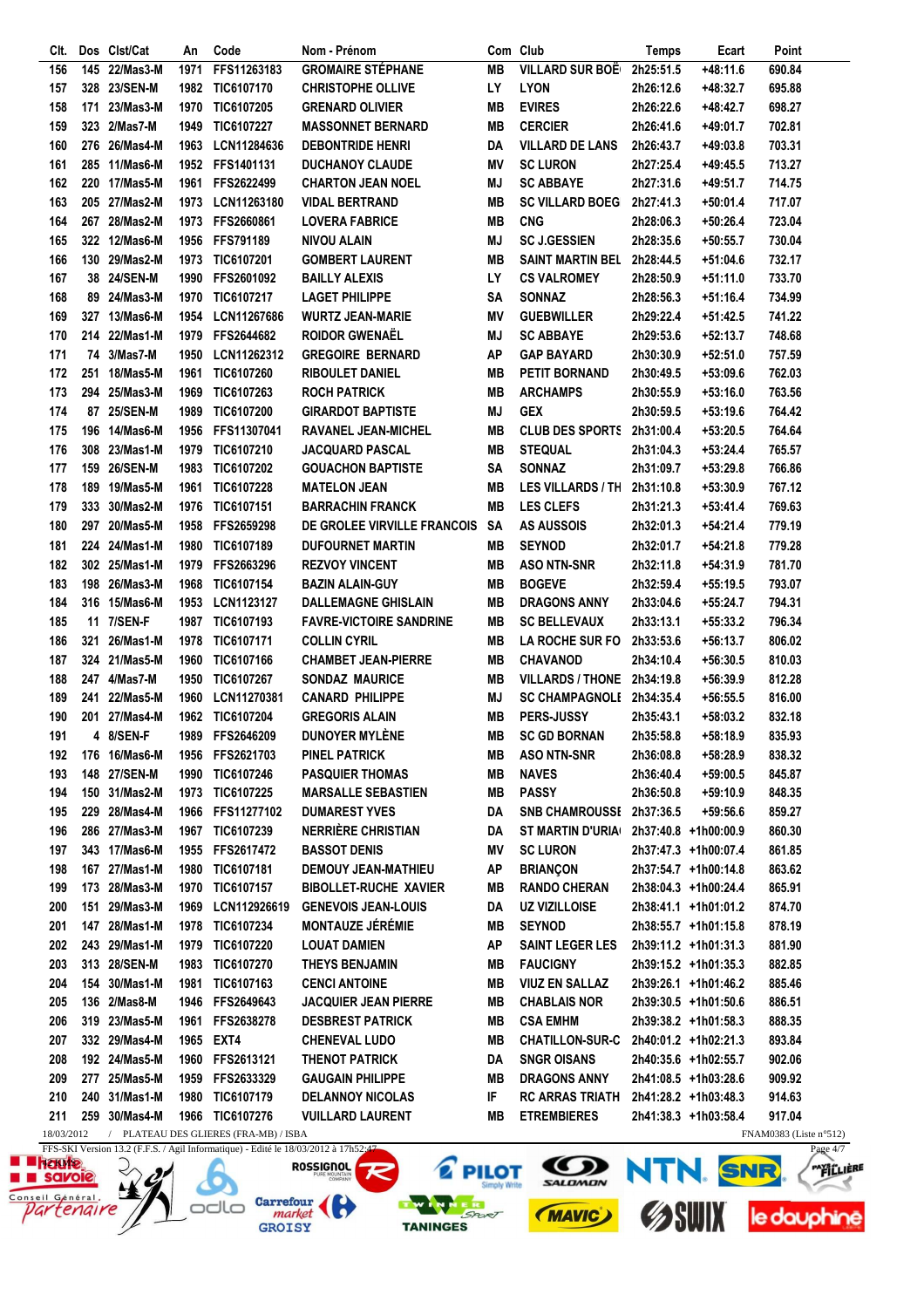| CIt. |            | Dos Clst/Cat  | An   | Code                                                                                                                      | Nom - Prénom                   |           | Com Club                   | Temps     | Ecart                | Point                                               |
|------|------------|---------------|------|---------------------------------------------------------------------------------------------------------------------------|--------------------------------|-----------|----------------------------|-----------|----------------------|-----------------------------------------------------|
| 156  |            | 145 22/Mas3-M | 1971 | FFS11263183                                                                                                               | <b>GROMAIRE STÉPHANE</b>       | <b>MB</b> | <b>VILLARD SUR BOË</b>     | 2h25:51.5 | $+48:11.6$           | 690.84                                              |
| 157  |            | 328 23/SEN-M  | 1982 | TIC6107170                                                                                                                | <b>CHRISTOPHE OLLIVE</b>       | LY        | <b>LYON</b>                | 2h26:12.6 | +48:32.7             | 695.88                                              |
| 158  | 171        | 23/Mas3-M     | 1970 | TIC6107205                                                                                                                | <b>GRENARD OLIVIER</b>         | <b>MB</b> | <b>EVIRES</b>              | 2h26:22.6 | +48:42.7             | 698.27                                              |
| 159  |            | 323 2/Mas7-M  | 1949 | TIC6107227                                                                                                                | <b>MASSONNET BERNARD</b>       | <b>MB</b> | <b>CERCIER</b>             | 2h26:41.6 | +49:01.7             | 702.81                                              |
| 160  |            | 276 26/Mas4-M | 1963 | LCN11284636                                                                                                               | <b>DEBONTRIDE HENRI</b>        | DA        | <b>VILLARD DE LANS</b>     | 2h26:43.7 | +49:03.8             | 703.31                                              |
| 161  |            | 285 11/Mas6-M | 1952 | FFS1401131                                                                                                                | <b>DUCHANOY CLAUDE</b>         | ΜV        | <b>SC LURON</b>            | 2h27:25.4 | +49:45.5             | 713.27                                              |
| 162  |            | 220 17/Mas5-M | 1961 | <b>FFS2622499</b>                                                                                                         | <b>CHARTON JEAN NOEL</b>       | ΜJ        | <b>SC ABBAYE</b>           | 2h27:31.6 | +49:51.7             | 714.75                                              |
| 163  |            | 205 27/Mas2-M | 1973 | LCN11263180                                                                                                               | <b>VIDAL BERTRAND</b>          | MВ        | <b>SC VILLARD BOEG</b>     | 2h27:41.3 | $+50:01.4$           | 717.07                                              |
| 164  |            | 267 28/Mas2-M |      | 1973 FFS2660861                                                                                                           | <b>LOVERA FABRICE</b>          | MВ        | <b>CNG</b>                 | 2h28:06.3 |                      |                                                     |
|      |            | 322 12/Mas6-M |      |                                                                                                                           |                                |           |                            |           | +50:26.4             | 723.04                                              |
| 165  |            |               |      | 1956 FFS791189                                                                                                            | <b>NIVOU ALAIN</b>             | MJ        | <b>SC J.GESSIEN</b>        | 2h28:35.6 | $+50:55.7$           | 730.04                                              |
| 166  |            | 130 29/Mas2-M |      | 1973 TIC6107201                                                                                                           | <b>GOMBERT LAURENT</b>         | <b>MB</b> | <b>SAINT MARTIN BEL</b>    | 2h28:44.5 | +51:04.6             | 732.17                                              |
| 167  |            | 38 24/SEN-M   | 1990 | FFS2601092                                                                                                                | <b>BAILLY ALEXIS</b>           | LY        | <b>CS VALROMEY</b>         | 2h28:50.9 | +51:11.0             | 733.70                                              |
| 168  |            | 89 24/Mas3-M  | 1970 | TIC6107217                                                                                                                | <b>LAGET PHILIPPE</b>          | SΑ        | <b>SONNAZ</b>              | 2h28:56.3 | +51:16.4             | 734.99                                              |
| 169  |            | 327 13/Mas6-M | 1954 | LCN11267686                                                                                                               | <b>WURTZ JEAN-MARIE</b>        | ΜV        | <b>GUEBWILLER</b>          | 2h29:22.4 | +51:42.5             | 741.22                                              |
| 170  |            | 214 22/Mas1-M | 1979 | FFS2644682                                                                                                                | <b>ROIDOR GWENAËL</b>          | ΜJ        | <b>SC ABBAYE</b>           | 2h29:53.6 | +52:13.7             | 748.68                                              |
| 171  |            | 74 3/Mas7-M   | 1950 | LCN11262312                                                                                                               | <b>GREGOIRE BERNARD</b>        | AP        | <b>GAP BAYARD</b>          | 2h30:30.9 | $+52:51.0$           | 757.59                                              |
| 172  |            | 251 18/Mas5-M | 1961 | TIC6107260                                                                                                                | <b>RIBOULET DANIEL</b>         | <b>MB</b> | <b>PETIT BORNAND</b>       | 2h30:49.5 | $+53:09.6$           | 762.03                                              |
| 173  |            | 294 25/Mas3-M | 1969 | TIC6107263                                                                                                                | <b>ROCH PATRICK</b>            | <b>MB</b> | <b>ARCHAMPS</b>            | 2h30:55.9 | $+53:16.0$           | 763.56                                              |
| 174  |            | 87 25/SEN-M   | 1989 | TIC6107200                                                                                                                | <b>GIRARDOT BAPTISTE</b>       | MJ        | <b>GEX</b>                 | 2h30:59.5 | $+53:19.6$           | 764.42                                              |
| 175  |            | 196 14/Mas6-M | 1956 | FFS11307041                                                                                                               | <b>RAVANEL JEAN-MICHEL</b>     | MВ        | <b>CLUB DES SPORTS</b>     | 2h31:00.4 | +53:20.5             | 764.64                                              |
| 176  |            | 308 23/Mas1-M | 1979 | TIC6107210                                                                                                                | JACQUARD PASCAL                | MВ        | <b>STEQUAL</b>             | 2h31:04.3 | $+53:24.4$           | 765.57                                              |
| 177  |            | 159 26/SEN-M  | 1983 | TIC6107202                                                                                                                | <b>GOUACHON BAPTISTE</b>       | SΑ        | <b>SONNAZ</b>              | 2h31:09.7 | $+53:29.8$           | 766.86                                              |
| 178  |            | 189 19/Mas5-M | 1961 | TIC6107228                                                                                                                | <b>MATELON JEAN</b>            | MВ        | <b>LES VILLARDS / TH</b>   | 2h31:10.8 | $+53:30.9$           | 767.12                                              |
| 179  |            | 333 30/Mas2-M | 1976 | <b>TIC6107151</b>                                                                                                         | <b>BARRACHIN FRANCK</b>        | MВ        | <b>LES CLEFS</b>           | 2h31:21.3 | $+53:41.4$           | 769.63                                              |
| 180  |            | 297 20/Mas5-M | 1958 | <b>FFS2659298</b>                                                                                                         | DE GROLEE VIRVILLE FRANCOIS SA |           | <b>AS AUSSOIS</b>          | 2h32:01.3 | $+54:21.4$           | 779.19                                              |
|      |            |               |      |                                                                                                                           |                                |           |                            |           |                      |                                                     |
| 181  |            | 224 24/Mas1-M | 1980 | TIC6107189                                                                                                                | <b>DUFOURNET MARTIN</b>        | <b>MB</b> | <b>SEYNOD</b>              | 2h32:01.7 | +54:21.8             | 779.28                                              |
| 182  |            | 302 25/Mas1-M | 1979 | FFS2663296                                                                                                                | <b>REZVOY VINCENT</b>          | <b>MB</b> | <b>ASO NTN-SNR</b>         | 2h32:11.8 | $+54:31.9$           | 781.70                                              |
| 183  |            | 198 26/Mas3-M |      | 1968 TIC6107154                                                                                                           | <b>BAZIN ALAIN-GUY</b>         | MВ        | <b>BOGEVE</b>              | 2h32:59.4 | +55:19.5             | 793.07                                              |
| 184  |            | 316 15/Mas6-M | 1953 | LCN1123127                                                                                                                | <b>DALLEMAGNE GHISLAIN</b>     | <b>MB</b> | <b>DRAGONS ANNY</b>        | 2h33:04.6 | +55:24.7             | 794.31                                              |
| 185  |            | 11 7/SEN-F    | 1987 | TIC6107193                                                                                                                | <b>FAVRE-VICTOIRE SANDRINE</b> | MВ        | <b>SC BELLEVAUX</b>        | 2h33:13.1 | +55:33.2             | 796.34                                              |
| 186  | 321        | 26/Mas1-M     | 1978 | <b>TIC6107171</b>                                                                                                         | <b>COLLIN CYRIL</b>            | MВ        | <b>LA ROCHE SUR FO</b>     | 2h33:53.6 | +56:13.7             | 806.02                                              |
| 187  |            | 324 21/Mas5-M | 1960 | TIC6107166                                                                                                                | <b>CHAMBET JEAN-PIERRE</b>     | MВ        | <b>CHAVANOD</b>            | 2h34:10.4 | $+56:30.5$           | 810.03                                              |
| 188  |            | 247 4/Mas7-M  | 1950 | TIC6107267                                                                                                                | <b>SONDAZ MAURICE</b>          | MВ        | VILLARDS / THONE 2h34:19.8 |           | $+56:39.9$           | 812.28                                              |
| 189  |            | 241 22/Mas5-M | 1960 | LCN11270381                                                                                                               | <b>CANARD PHILIPPE</b>         | MJ        | SC CHAMPAGNOLI 2h34:35.4   |           | $+56:55.5$           | 816.00                                              |
| 190  | 201        | 27/Mas4-M     | 1962 | TIC6107204                                                                                                                | <b>GREGORIS ALAIN</b>          | MВ        | PERS-JUSSY                 | 2h35:43.1 | +58:03.2             | 832.18                                              |
| 191  |            | 4 8/SEN-F     | 1989 | FFS2646209                                                                                                                | <b>DUNOYER MYLÈNE</b>          | MВ        | <b>SC GD BORNAN</b>        | 2h35:58.8 | $+58:18.9$           | 835.93                                              |
| 192  |            | 176 16/Mas6-M |      | 1956 FFS2621703                                                                                                           | <b>PINEL PATRICK</b>           | MВ        | <b>ASO NTN-SNR</b>         | 2h36:08.8 | +58:28.9             | 838.32                                              |
| 193  |            | 148 27/SEN-M  |      | 1990 TIC6107246                                                                                                           | <b>PASQUIER THOMAS</b>         | MВ        | <b>NAVES</b>               | 2h36:40.4 | $+59:00.5$           | 845.87                                              |
| 194  |            | 150 31/Mas2-M |      | 1973 TIC6107225                                                                                                           | <b>MARSALLE SEBASTIEN</b>      | MВ        | <b>PASSY</b>               | 2h36:50.8 | $+59:10.9$           | 848.35                                              |
| 195  |            | 229 28/Mas4-M |      | 1966 FFS11277102                                                                                                          | <b>DUMAREST YVES</b>           | DA        | SNB CHAMROUSSE 2h37:36.5   |           | +59:56.6             | 859.27                                              |
| 196  |            | 286 27/Mas3-M |      | 1967 TIC6107239                                                                                                           | <b>NERRIÈRE CHRISTIAN</b>      | DA        | <b>ST MARTIN D'URIA</b>    |           | 2h37:40.8 +1h00:00.9 | 860.30                                              |
| 197  |            | 343 17/Mas6-M |      | 1955 FFS2617472                                                                                                           | <b>BASSOT DENIS</b>            | ΜV        | <b>SC LURON</b>            |           | 2h37:47.3 +1h00:07.4 | 861.85                                              |
| 198  |            | 167 27/Mas1-M |      | 1980 TIC6107181                                                                                                           | <b>DEMOUY JEAN-MATHIEU</b>     | ΑP        | <b>BRIANÇON</b>            |           | 2h37:54.7 +1h00:14.8 | 863.62                                              |
| 199  |            | 173 28/Mas3-M |      | 1970 TIC6107157                                                                                                           | <b>BIBOLLET-RUCHE XAVIER</b>   | MВ        | <b>RANDO CHERAN</b>        |           | 2h38:04.3 +1h00:24.4 | 865.91                                              |
| 200  |            | 151 29/Mas3-M | 1969 | LCN112926619                                                                                                              | <b>GENEVOIS JEAN-LOUIS</b>     | DA        | <b>UZ VIZILLOISE</b>       |           | 2h38:41.1 +1h01:01.2 | 874.70                                              |
| 201  |            | 147 28/Mas1-M |      | 1978 TIC6107234                                                                                                           | <b>MONTAUZE JÉRÉMIE</b>        | MВ        | <b>SEYNOD</b>              |           | 2h38:55.7 +1h01:15.8 | 878.19                                              |
| 202  |            | 243 29/Mas1-M |      | 1979 TIC6107220                                                                                                           | <b>LOUAT DAMIEN</b>            | ΑP        | <b>SAINT LEGER LES</b>     |           | 2h39:11.2 +1h01:31.3 | 881.90                                              |
| 203  |            | 313 28/SEN-M  |      | 1983 TIC6107270                                                                                                           | THEYS BENJAMIN                 | MВ        | <b>FAUCIGNY</b>            |           | 2h39:15.2 +1h01:35.3 | 882.85                                              |
| 204  |            | 154 30/Mas1-M |      |                                                                                                                           |                                | MВ        |                            |           |                      |                                                     |
|      |            |               |      | 1981 TIC6107163                                                                                                           | <b>CENCI ANTOINE</b>           |           | <b>VIUZ EN SALLAZ</b>      |           | 2h39:26.1 +1h01:46.2 | 885.46                                              |
| 205  |            | 136 2/Mas8-M  |      | 1946 FFS2649643                                                                                                           | <b>JACQUIER JEAN PIERRE</b>    | MВ        | <b>CHABLAIS NOR</b>        |           | 2h39:30.5 +1h01:50.6 | 886.51                                              |
| 206  |            | 319 23/Mas5-M |      | 1961 FFS2638278                                                                                                           | <b>DESBREST PATRICK</b>        | MВ        | <b>CSA EMHM</b>            |           | 2h39:38.2 +1h01:58.3 | 888.35                                              |
| 207  |            | 332 29/Mas4-M | 1965 | EXT4                                                                                                                      | <b>CHENEVAL LUDO</b>           | MВ        | <b>CHATILLON-SUR-C</b>     |           | 2h40:01.2 +1h02:21.3 | 893.84                                              |
| 208  |            | 192 24/Mas5-M |      | 1960 FFS2613121                                                                                                           | THENOT PATRICK                 | DA        | <b>SNGR OISANS</b>         |           | 2h40:35.6 +1h02:55.7 | 902.06                                              |
| 209  |            | 277 25/Mas5-M |      | 1959 FFS2633329                                                                                                           | <b>GAUGAIN PHILIPPE</b>        | MВ        | <b>DRAGONS ANNY</b>        |           | 2h41:08.5 +1h03:28.6 | 909.92                                              |
| 210  |            | 240 31/Mas1-M |      | 1980 TIC6107179                                                                                                           | <b>DELANNOY NICOLAS</b>        | IF        | <b>RC ARRAS TRIATH</b>     |           | 2h41:28.2 +1h03:48.3 | 914.63                                              |
| 211  |            | 259 30/Mas4-M |      | 1966 TIC6107276                                                                                                           | <b>VUILLARD LAURENT</b>        | MВ        | <b>ETREMBIERES</b>         |           | 2h41:38.3 +1h03:58.4 | 917.04                                              |
|      | 18/03/2012 | $\sqrt{2}$    |      | PLATEAU DES GLIERES (FRA-MB) / ISBA<br>EES-SKI Version 13.2 (E.E.S. / Agil Informatique) - Edité le 18/03/2012 à 17b52:47 |                                |           |                            |           |                      | FNAM0383 (Liste $n^{\circ}512$ )<br>$P_{30P}$ $4/7$ |

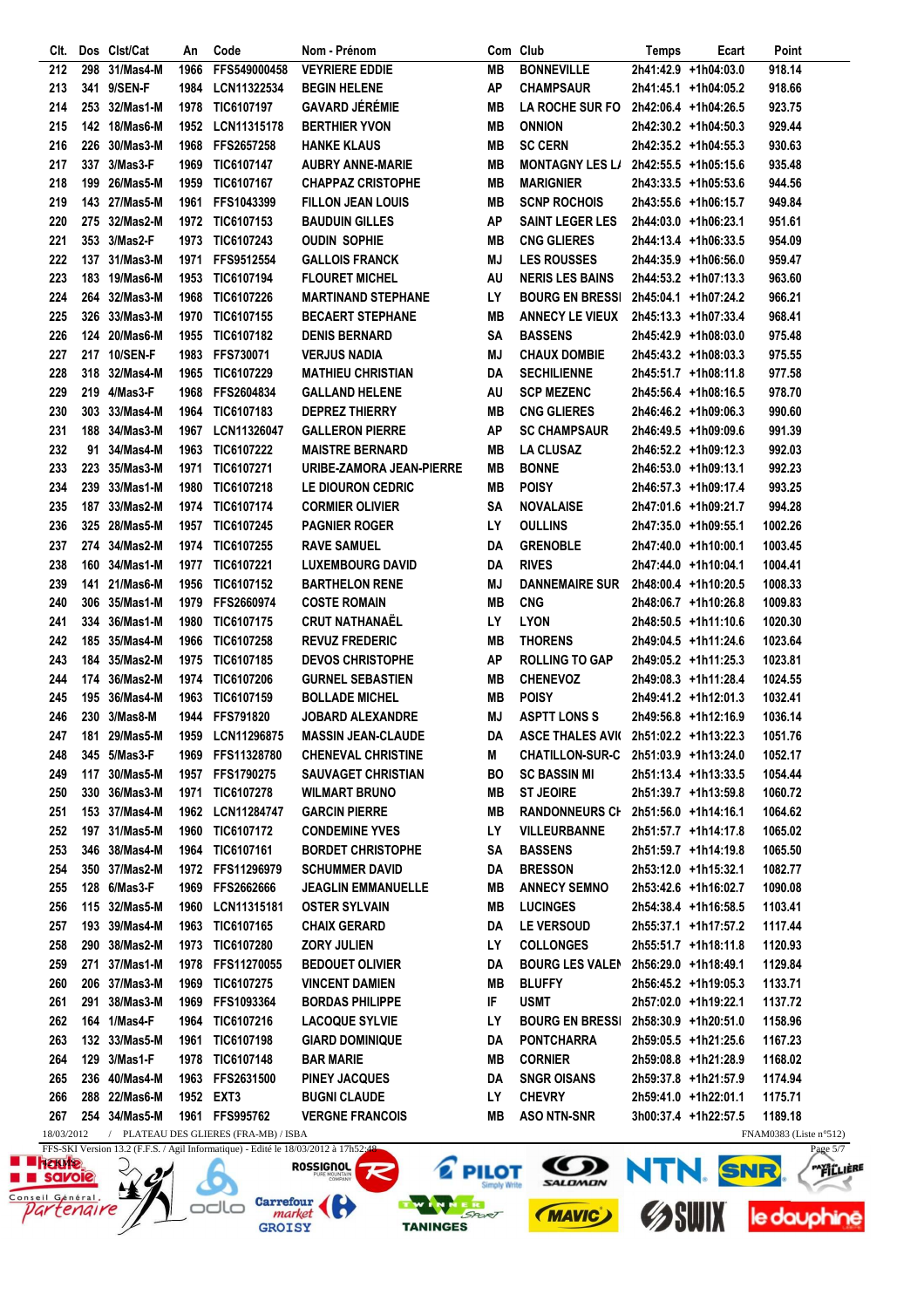| CIt.       |     | Dos Clst/Cat               | An   | Code                                  | Nom - Prénom                                                                        |           | Com Club                                 | Temps | Ecart                                        | Point                                               |
|------------|-----|----------------------------|------|---------------------------------------|-------------------------------------------------------------------------------------|-----------|------------------------------------------|-------|----------------------------------------------|-----------------------------------------------------|
| 212        | 298 | 31/Mas4-M                  | 1966 | FFS549000458                          | <b>VEYRIERE EDDIE</b>                                                               | <b>MB</b> | <b>BONNEVILLE</b>                        |       | 2h41:42.9 +1h04:03.0                         | 918.14                                              |
| 213        |     | 341 9/SEN-F                | 1984 | LCN11322534                           | <b>BEGIN HELENE</b>                                                                 | ΑP        | <b>CHAMPSAUR</b>                         |       | 2h41:45.1 +1h04:05.2                         | 918.66                                              |
| 214        |     | 253 32/Mas1-M              | 1978 | TIC6107197                            | <b>GAVARD JÉRÉMIE</b>                                                               | MВ        | <b>LA ROCHE SUR FO</b>                   |       | 2h42:06.4 +1h04:26.5                         | 923.75                                              |
| 215        |     | 142 18/Mas6-M              |      | 1952 LCN11315178                      | <b>BERTHIER YVON</b>                                                                | MВ        | <b>ONNION</b>                            |       | 2h42:30.2 +1h04:50.3                         | 929.44                                              |
| 216        |     | 226 30/Mas3-M              | 1968 | <b>FFS2657258</b>                     | <b>HANKE KLAUS</b>                                                                  | MВ        | <b>SC CERN</b>                           |       | 2h42:35.2 +1h04:55.3                         | 930.63                                              |
| 217        |     | 337 3/Mas3-F               | 1969 | TIC6107147                            | <b>AUBRY ANNE-MARIE</b>                                                             | MВ        | <b>MONTAGNY LES L/</b>                   |       | 2h42:55.5 +1h05:15.6                         | 935.48                                              |
| 218        |     | 199 26/Mas5-M              | 1959 | TIC6107167                            | <b>CHAPPAZ CRISTOPHE</b>                                                            | MВ        | <b>MARIGNIER</b>                         |       | 2h43:33.5 +1h05:53.6                         | 944.56                                              |
| 219        |     | 143 27/Mas5-M              | 1961 | FFS1043399                            | <b>FILLON JEAN LOUIS</b>                                                            | MВ        | <b>SCNP ROCHOIS</b>                      |       | 2h43:55.6 +1h06:15.7                         | 949.84                                              |
| 220        |     | 275 32/Mas2-M              |      | 1972 TIC6107153                       | <b>BAUDUIN GILLES</b>                                                               | AP        | <b>SAINT LEGER LES</b>                   |       | 2h44:03.0 +1h06:23.1                         | 951.61                                              |
| 221        |     | 353 3/Mas2-F               | 1973 | TIC6107243                            | <b>OUDIN SOPHIE</b>                                                                 | MВ        | <b>CNG GLIERES</b>                       |       | 2h44:13.4 +1h06:33.5                         | 954.09                                              |
| 222        |     | 137 31/Mas3-M              | 1971 | <b>FFS9512554</b>                     | <b>GALLOIS FRANCK</b>                                                               | MJ        | <b>LES ROUSSES</b>                       |       | 2h44:35.9 +1h06:56.0                         | 959.47                                              |
| 223        |     | 183 19/Mas6-M              | 1953 | TIC6107194                            | <b>FLOURET MICHEL</b>                                                               | AU        | <b>NERIS LES BAINS</b>                   |       | 2h44:53.2 +1h07:13.3                         | 963.60                                              |
| 224        |     | 264 32/Mas3-M              | 1968 | TIC6107226                            | <b>MARTINAND STEPHANE</b>                                                           | LY        | <b>BOURG EN BRESSI</b>                   |       | 2h45:04.1 +1h07:24.2                         | 966.21                                              |
| 225        |     | 326 33/Mas3-M              | 1970 | TIC6107155                            | <b>BECAERT STEPHANE</b>                                                             | MВ        | <b>ANNECY LE VIEUX</b>                   |       | 2h45:13.3 +1h07:33.4                         | 968.41                                              |
| 226        |     | 124 20/Mas6-M              | 1955 | TIC6107182                            | <b>DENIS BERNARD</b>                                                                | SΑ        | <b>BASSENS</b>                           |       | 2h45:42.9 +1h08:03.0                         | 975.48                                              |
| 227        |     | 217 10/SEN-F               | 1983 | <b>FFS730071</b>                      | <b>VERJUS NADIA</b>                                                                 | MJ        | <b>CHAUX DOMBIE</b>                      |       | 2h45:43.2 +1h08:03.3                         | 975.55                                              |
| 228        |     | 318 32/Mas4-M              |      | 1965 TIC6107229                       | <b>MATHIEU CHRISTIAN</b>                                                            | DA        | <b>SECHILIENNE</b>                       |       | 2h45:51.7 +1h08:11.8                         | 977.58                                              |
| 229        |     | 219 4/Mas3-F               | 1968 | <b>FFS2604834</b>                     | <b>GALLAND HELENE</b>                                                               | AU        | <b>SCP MEZENC</b>                        |       | 2h45:56.4 +1h08:16.5                         | 978.70                                              |
| 230        |     | 303 33/Mas4-M              |      | 1964 TIC6107183                       | <b>DEPREZ THIERRY</b>                                                               | MВ        | <b>CNG GLIERES</b>                       |       | 2h46:46.2 +1h09:06.3                         | 990.60                                              |
| 231        |     | 188 34/Mas3-M              | 1967 | LCN11326047                           | <b>GALLERON PIERRE</b>                                                              | ΑP        | <b>SC CHAMPSAUR</b>                      |       | 2h46:49.5 +1h09:09.6                         | 991.39                                              |
| 232        |     | 91 34/Mas4-M               | 1963 | TIC6107222                            | <b>MAISTRE BERNARD</b>                                                              | MВ        | <b>LA CLUSAZ</b>                         |       | 2h46:52.2 +1h09:12.3                         | 992.03                                              |
| 233        |     | 223 35/Mas3-M              | 1971 | <b>TIC6107271</b>                     | URIBE-ZAMORA JEAN-PIERRE                                                            | MВ        | <b>BONNE</b>                             |       | 2h46:53.0 +1h09:13.1                         | 992.23                                              |
| 234        |     | 239 33/Mas1-M              | 1980 | TIC6107218                            | LE DIOURON CEDRIC                                                                   | MВ        | <b>POISY</b>                             |       | 2h46:57.3 +1h09:17.4                         | 993.25                                              |
| 235        |     | 187 33/Mas2-M              | 1974 | TIC6107174                            | <b>CORMIER OLIVIER</b>                                                              | SΑ        | <b>NOVALAISE</b>                         |       | 2h47:01.6 +1h09:21.7                         | 994.28                                              |
| 236        |     | 325 28/Mas5-M              | 1957 | TIC6107245                            | <b>PAGNIER ROGER</b>                                                                | LY        | <b>OULLINS</b>                           |       | 2h47:35.0 +1h09:55.1                         | 1002.26                                             |
| 237        |     | 274 34/Mas2-M              | 1974 | <b>TIC6107255</b>                     | <b>RAVE SAMUEL</b>                                                                  | DA        | <b>GRENOBLE</b>                          |       | 2h47:40.0 +1h10:00.1                         | 1003.45                                             |
| 238        |     | 160 34/Mas1-M              | 1977 | <b>TIC6107221</b>                     | <b>LUXEMBOURG DAVID</b>                                                             | DA        | <b>RIVES</b>                             |       | 2h47:44.0 +1h10:04.1                         | 1004.41                                             |
| 239        |     | 141 21/Mas6-M              | 1956 | TIC6107152                            | <b>BARTHELON RENE</b>                                                               | MJ        | <b>DANNEMAIRE SUR</b>                    |       | 2h48:00.4 +1h10:20.5                         | 1008.33                                             |
| 240        | 306 | 35/Mas1-M                  | 1979 | FFS2660974                            | <b>COSTE ROMAIN</b>                                                                 | MВ        | <b>CNG</b>                               |       | 2h48:06.7 +1h10:26.8                         | 1009.83                                             |
| 241        |     | 334 36/Mas1-M              | 1980 | TIC6107175                            | <b>CRUT NATHANAËL</b>                                                               | LY        | <b>LYON</b>                              |       | 2h48:50.5 +1h11:10.6                         | 1020.30                                             |
| 242        |     | 185 35/Mas4-M              | 1966 | TIC6107258                            | <b>REVUZ FREDERIC</b>                                                               | MВ        | <b>THORENS</b>                           |       | 2h49:04.5 +1h11:24.6                         | 1023.64                                             |
| 243        |     | 184 35/Mas2-M              | 1975 | TIC6107185                            | <b>DEVOS CHRISTOPHE</b>                                                             | <b>AP</b> | <b>ROLLING TO GAP</b>                    |       | 2h49:05.2 +1h11:25.3                         | 1023.81                                             |
| 244        |     | 174 36/Mas2-M              | 1974 | TIC6107206                            | <b>GURNEL SEBASTIEN</b>                                                             | <b>MB</b> | <b>CHENEVOZ</b>                          |       | 2h49:08.3 +1h11:28.4                         | 1024.55                                             |
| 245        |     | 195 36/Mas4-M              | 1963 | TIC6107159                            | <b>BOLLADE MICHEL</b>                                                               | MВ        | <b>POISY</b>                             |       | 2h49:41.2 +1h12:01.3                         | 1032.41                                             |
| 246        |     | 230 3/Mas8-M               |      | 1944 FFS791820                        | <b>JOBARD ALEXANDRE</b>                                                             | MJ        | <b>ASPTT LONS S</b>                      |       | 2h49:56.8 +1h12:16.9                         | 1036.14                                             |
| 247        |     | 181 29/Mas5-M              |      | 1959 LCN11296875                      | <b>MASSIN JEAN-CLAUDE</b>                                                           |           | DA ASCE THALES AVI( 2h51:02.2 +1h13:22.3 |       |                                              | 1051.76                                             |
| 248        |     | 345 5/Mas3-F               |      | 1969 FFS11328780                      | <b>CHENEVAL CHRISTINE</b>                                                           | M         | <b>CHATILLON-SUR-C</b>                   |       | 2h51:03.9 +1h13:24.0                         | 1052.17                                             |
| 249        |     | 117 30/Mas5-M              |      | 1957 FFS1790275                       | <b>SAUVAGET CHRISTIAN</b>                                                           | BO        | <b>SC BASSIN MI</b>                      |       | 2h51:13.4 +1h13:33.5                         | 1054.44                                             |
| 250        |     | 330 36/Mas3-M              |      | 1971 TIC6107278                       | <b>WILMART BRUNO</b>                                                                | MВ        | <b>ST JEOIRE</b>                         |       | 2h51:39.7 +1h13:59.8                         | 1060.72                                             |
| 251        |     | 153 37/Mas4-M              |      | 1962 LCN11284747                      | <b>GARCIN PIERRE</b>                                                                | MВ        | RANDONNEURS CI 2h51:56.0 +1h14:16.1      |       |                                              | 1064.62                                             |
| 252        |     | 197 31/Mas5-M              |      | 1960 TIC6107172                       | <b>CONDEMINE YVES</b>                                                               | LY        | <b>VILLEURBANNE</b>                      |       | 2h51:57.7 +1h14:17.8                         | 1065.02                                             |
| 253        |     | 346 38/Mas4-M              |      | 1964 TIC6107161                       | <b>BORDET CHRISTOPHE</b>                                                            | SΑ        | <b>BASSENS</b>                           |       | 2h51:59.7 +1h14:19.8                         | 1065.50                                             |
| 254        |     | 350 37/Mas2-M              |      | 1972 FFS11296979                      | <b>SCHUMMER DAVID</b>                                                               | DA        | <b>BRESSON</b>                           |       | 2h53:12.0 +1h15:32.1                         | 1082.77                                             |
| 255        |     | 128 6/Mas3-F               | 1969 | FFS2662666                            | <b>JEAGLIN EMMANUELLE</b>                                                           | MВ        | <b>ANNECY SEMNO</b>                      |       | 2h53:42.6 +1h16:02.7                         | 1090.08                                             |
| 256        |     | 115 32/Mas5-M              | 1960 | LCN11315181                           | <b>OSTER SYLVAIN</b>                                                                | MВ        |                                          |       | 2h54:38.4 +1h16:58.5                         | 1103.41                                             |
| 257        |     | 193 39/Mas4-M              | 1963 | TIC6107165                            | <b>CHAIX GERARD</b>                                                                 | DA        | <b>LUCINGES</b><br>LE VERSOUD            |       |                                              | 1117.44                                             |
| 258        |     | 290 38/Mas2-M              |      | 1973 TIC6107280                       | <b>ZORY JULIEN</b>                                                                  | LY        | <b>COLLONGES</b>                         |       | 2h55:37.1 +1h17:57.2<br>2h55:51.7 +1h18:11.8 | 1120.93                                             |
| 259        | 271 | 37/Mas1-M                  | 1978 | FFS11270055                           | <b>BEDOUET OLIVIER</b>                                                              | DA        | <b>BOURG LES VALEN</b>                   |       |                                              |                                                     |
|            |     |                            |      |                                       |                                                                                     |           |                                          |       | 2h56:29.0 +1h18:49.1                         | 1129.84                                             |
| 260<br>261 |     | 206 37/Mas3-M<br>38/Mas3-M | 1969 | TIC6107275<br>1969 FFS1093364         | <b>VINCENT DAMIEN</b><br><b>BORDAS PHILIPPE</b>                                     | MВ<br>IF  | <b>BLUFFY</b><br><b>USMT</b>             |       | 2h56:45.2 +1h19:05.3<br>2h57:02.0 +1h19:22.1 | 1133.71                                             |
|            | 291 | 164 1/Mas4-F               |      |                                       |                                                                                     |           |                                          |       |                                              | 1137.72                                             |
| 262        |     |                            |      | 1964 TIC6107216                       | <b>LACOQUE SYLVIE</b>                                                               | LY        | <b>BOURG EN BRESSI</b>                   |       | 2h58:30.9 +1h20:51.0                         | 1158.96                                             |
| 263        |     | 132 33/Mas5-M              |      | 1961 TIC6107198                       | <b>GIARD DOMINIQUE</b>                                                              | DA        | <b>PONTCHARRA</b>                        |       | 2h59:05.5 +1h21:25.6                         | 1167.23                                             |
| 264        |     | 129 3/Mas1-F               |      | 1978 TIC6107148                       | <b>BAR MARIE</b>                                                                    | MВ        | <b>CORNIER</b>                           |       | 2h59:08.8 +1h21:28.9                         | 1168.02                                             |
| 265        |     | 236 40/Mas4-M              |      | 1963 FFS2631500                       | <b>PINEY JACQUES</b>                                                                | DA        | <b>SNGR OISANS</b>                       |       | 2h59:37.8 +1h21:57.9                         | 1174.94                                             |
| 266        |     | 288 22/Mas6-M              |      | 1952 EXT3                             | <b>BUGNI CLAUDE</b>                                                                 | LY        | <b>CHEVRY</b>                            |       | 2h59:41.0 +1h22:01.1                         | 1175.71                                             |
| 267        |     | 254 34/Mas5-M              |      | 1961 FFS995762                        | <b>VERGNE FRANCOIS</b>                                                              | MВ        | <b>ASO NTN-SNR</b>                       |       | 3h00:37.4 +1h22:57.5                         | 1189.18                                             |
| 18/03/2012 |     |                            |      | / PLATEAU DES GLIERES (FRA-MB) / ISBA | EES SKI Version 12.2 (E.E.S. / Agil Informational). Editá la 18/02/2012 à 17652-48. |           |                                          |       |                                              | FNAM0383 (Liste $n^{\circ}512$ )<br>$D_{0.005}$ 5/7 |

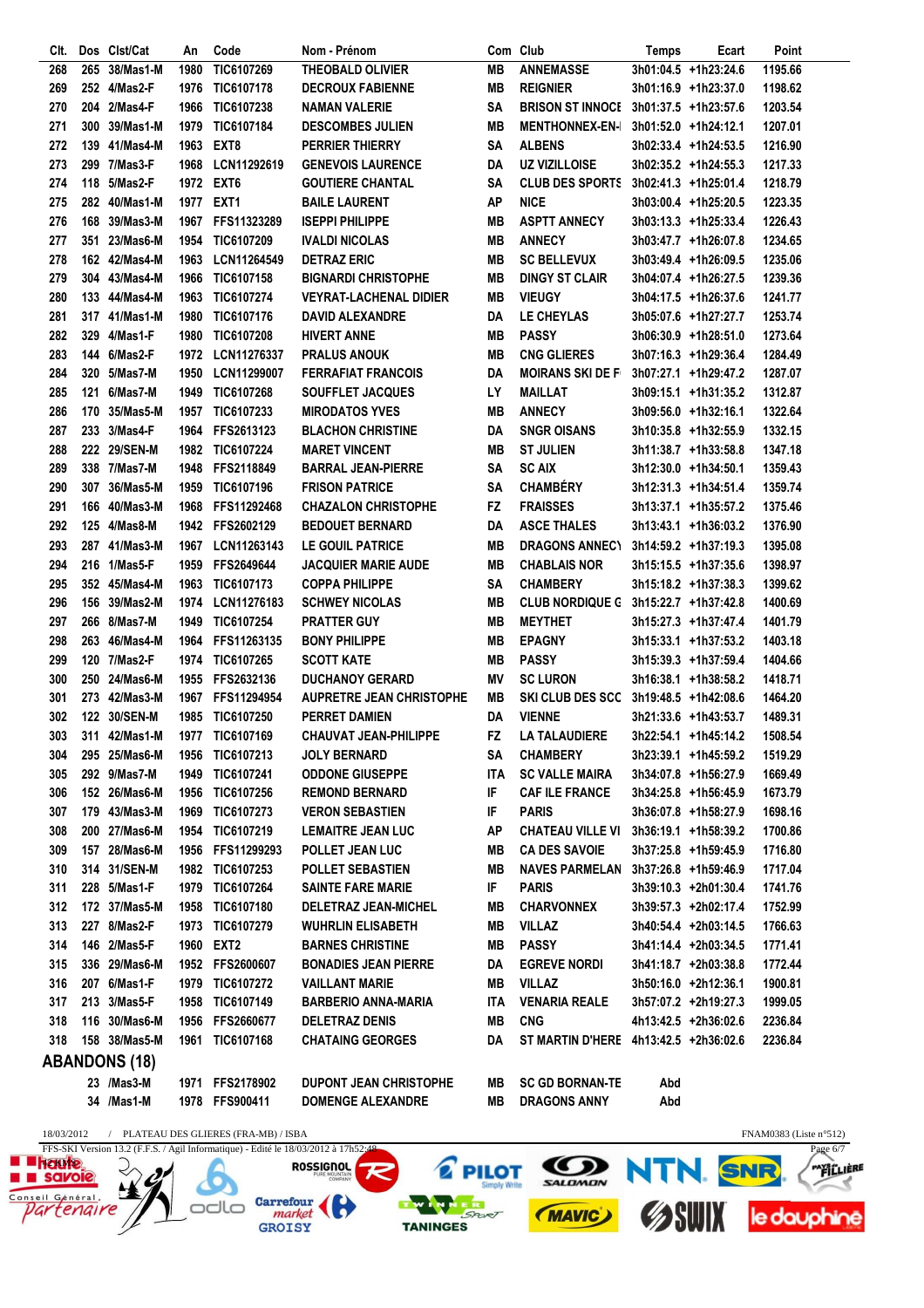| CIt.       |     | Dos Clst/Cat         | An   | Code                                | Nom - Prénom                                                                       |           | Com Club                              | Temps | Ecart                  | Point                                          |
|------------|-----|----------------------|------|-------------------------------------|------------------------------------------------------------------------------------|-----------|---------------------------------------|-------|------------------------|------------------------------------------------|
| 268        | 265 | 38/Mas1-M            | 1980 | TIC6107269                          | <b>THEOBALD OLIVIER</b>                                                            | MВ        | <b>ANNEMASSE</b>                      |       | 3h01:04.5 +1h23:24.6   | 1195.66                                        |
| 269        |     | 252 4/Mas2-F         | 1976 | TIC6107178                          | <b>DECROUX FABIENNE</b>                                                            | MВ        | <b>REIGNIER</b>                       |       | 3h01:16.9 +1h23:37.0   | 1198.62                                        |
| 270        |     | 204 2/Mas4-F         | 1966 | TIC6107238                          | <b>NAMAN VALERIE</b>                                                               | SΑ        | <b>BRISON ST INNOCE</b>               |       | 3h01:37.5 +1h23:57.6   | 1203.54                                        |
| 271        |     | 300 39/Mas1-M        | 1979 | <b>TIC6107184</b>                   | <b>DESCOMBES JULIEN</b>                                                            | MВ        | <b>MENTHONNEX-EN-I</b>                |       | $3h01:52.0$ +1h24:12.1 | 1207.01                                        |
| 272        |     | 139 41/Mas4-M        | 1963 | EXT8                                | <b>PERRIER THIERRY</b>                                                             | SΑ        | <b>ALBENS</b>                         |       | 3h02:33.4 +1h24:53.5   | 1216.90                                        |
| 273        |     | 299 7/Mas3-F         | 1968 | <b>LCN11292619</b>                  | <b>GENEVOIS LAURENCE</b>                                                           | DA        | <b>UZ VIZILLOISE</b>                  |       | 3h02:35.2 +1h24:55.3   | 1217.33                                        |
| 274        |     | 118 5/Mas2-F         |      | 1972 EXT6                           | <b>GOUTIERE CHANTAL</b>                                                            | SΑ        | <b>CLUB DES SPORTS</b>                |       | 3h02:41.3 +1h25:01.4   | 1218.79                                        |
| 275        |     | 282 40/Mas1-M        |      | 1977 EXT1                           | <b>BAILE LAURENT</b>                                                               | AP        | <b>NICE</b>                           |       | 3h03:00.4 +1h25:20.5   | 1223.35                                        |
| 276        |     | 168 39/Mas3-M        |      | 1967 FFS11323289                    | <b>ISEPPI PHILIPPE</b>                                                             | MВ        | <b>ASPTT ANNECY</b>                   |       | 3h03:13.3 +1h25:33.4   | 1226.43                                        |
| 277        |     | 351 23/Mas6-M        |      | 1954 TIC6107209                     | <b>IVALDI NICOLAS</b>                                                              | MВ        | <b>ANNECY</b>                         |       | 3h03:47.7 +1h26:07.8   | 1234.65                                        |
| 278        |     | 162 42/Mas4-M        | 1963 | LCN11264549                         | <b>DETRAZ ERIC</b>                                                                 | MВ        | <b>SC BELLEVUX</b>                    |       | 3h03:49.4 +1h26:09.5   | 1235.06                                        |
| 279        |     | 304 43/Mas4-M        | 1966 | TIC6107158                          | <b>BIGNARDI CHRISTOPHE</b>                                                         | MВ        | <b>DINGY ST CLAIR</b>                 |       | 3h04:07.4 +1h26:27.5   | 1239.36                                        |
| 280        |     | 133 44/Mas4-M        | 1963 | TIC6107274                          | <b>VEYRAT-LACHENAL DIDIER</b>                                                      | MВ        | <b>VIEUGY</b>                         |       | 3h04:17.5 +1h26:37.6   | 1241.77                                        |
| 281        |     | 317 41/Mas1-M        | 1980 | TIC6107176                          | <b>DAVID ALEXANDRE</b>                                                             | DA        | LE CHEYLAS                            |       | 3h05:07.6 +1h27:27.7   | 1253.74                                        |
| 282        |     | 329 4/Mas1-F         | 1980 | TIC6107208                          | <b>HIVERT ANNE</b>                                                                 | MВ        | <b>PASSY</b>                          |       | 3h06:30.9 +1h28:51.0   | 1273.64                                        |
| 283        |     | 144 6/Mas2-F         | 1972 | <b>LCN11276337</b>                  | <b>PRALUS ANOUK</b>                                                                | MВ        | <b>CNG GLIERES</b>                    |       | 3h07:16.3 +1h29:36.4   | 1284.49                                        |
| 284        |     | 320 5/Mas7-M         | 1950 | LCN11299007                         | <b>FERRAFIAT FRANCOIS</b>                                                          | DA        | <b>MOIRANS SKI DE F</b>               |       | 3h07:27.1 +1h29:47.2   | 1287.07                                        |
| 285        | 121 | 6/Mas7-M             | 1949 | TIC6107268                          | <b>SOUFFLET JACQUES</b>                                                            | LΥ        | <b>MAILLAT</b>                        |       | 3h09:15.1 +1h31:35.2   | 1312.87                                        |
| 286        |     | 170 35/Mas5-M        | 1957 | <b>TIC6107233</b>                   | <b>MIRODATOS YVES</b>                                                              | MВ        | <b>ANNECY</b>                         |       | 3h09:56.0 +1h32:16.1   | 1322.64                                        |
| 287        |     | 233 3/Mas4-F         |      | 1964 FFS2613123                     | <b>BLACHON CHRISTINE</b>                                                           | DA        | <b>SNGR OISANS</b>                    |       | 3h10:35.8 +1h32:55.9   | 1332.15                                        |
| 288        |     | 222 29/SEN-M         |      | 1982 TIC6107224                     | <b>MARET VINCENT</b>                                                               | MВ        | <b>ST JULIEN</b>                      |       | 3h11:38.7 +1h33:58.8   | 1347.18                                        |
| 289        |     | 338 7/Mas7-M         | 1948 | FFS2118849                          | <b>BARRAL JEAN-PIERRE</b>                                                          | SΑ        | <b>SC AIX</b>                         |       | 3h12:30.0 +1h34:50.1   | 1359.43                                        |
| 290        |     | 307 36/Mas5-M        | 1959 | TIC6107196                          | <b>FRISON PATRICE</b>                                                              | SΑ        | <b>CHAMBÉRY</b>                       |       | 3h12:31.3 +1h34:51.4   | 1359.74                                        |
| 291        |     | 166 40/Mas3-M        | 1968 | FFS11292468                         | <b>CHAZALON CHRISTOPHE</b>                                                         | FZ        | <b>FRAISSES</b>                       |       | 3h13:37.1 +1h35:57.2   | 1375.46                                        |
| 292        |     | 125 4/Mas8-M         | 1942 | <b>FFS2602129</b>                   | <b>BEDOUET BERNARD</b>                                                             | DA        | <b>ASCE THALES</b>                    |       | 3h13:43.1 +1h36:03.2   | 1376.90                                        |
| 293        |     | 287 41/Mas3-M        | 1967 | LCN11263143                         | <b>LE GOUIL PATRICE</b>                                                            | MВ        | <b>DRAGONS ANNECY</b>                 |       | 3h14:59.2 +1h37:19.3   | 1395.08                                        |
| 294        |     | 216 1/Mas5-F         | 1959 | <b>FFS2649644</b>                   | <b>JACQUIER MARIE AUDE</b>                                                         | MВ        | <b>CHABLAIS NOR</b>                   |       | 3h15:15.5 +1h37:35.6   | 1398.97                                        |
| 295        |     | 352 45/Mas4-M        | 1963 | <b>TIC6107173</b>                   | <b>COPPA PHILIPPE</b>                                                              | SΑ        | <b>CHAMBERY</b>                       |       | 3h15:18.2 +1h37:38.3   | 1399.62                                        |
| 296        |     | 156 39/Mas2-M        |      | 1974 LCN11276183                    | <b>SCHWEY NICOLAS</b>                                                              | MВ        | <b>CLUB NORDIQUE G</b>                |       | 3h15:22.7 +1h37:42.8   | 1400.69                                        |
| 297        |     | 266 8/Mas7-M         | 1949 | <b>TIC6107254</b>                   | <b>PRATTER GUY</b>                                                                 | MВ        | <b>MEYTHET</b>                        |       | 3h15:27.3 +1h37:47.4   | 1401.79                                        |
| 298        |     | 263 46/Mas4-M        |      | 1964 FFS11263135                    | <b>BONY PHILIPPE</b>                                                               | MВ        | <b>EPAGNY</b>                         |       | 3h15:33.1 +1h37:53.2   | 1403.18                                        |
| 299        |     | 120 7/Mas2-F         |      | 1974 TIC6107265                     | <b>SCOTT KATE</b>                                                                  | MВ        | <b>PASSY</b>                          |       | 3h15:39.3 +1h37:59.4   | 1404.66                                        |
| 300        |     | 250 24/Mas6-M        | 1955 | <b>FFS2632136</b>                   | <b>DUCHANOY GERARD</b>                                                             | ΜV        | <b>SC LURON</b>                       |       | 3h16:38.1 +1h38:58.2   | 1418.71                                        |
| 301        |     | 273 42/Mas3-M        | 1967 | <b>FFS11294954</b>                  | <b>AUPRETRE JEAN CHRISTOPHE</b>                                                    | MВ        | <b>SKI CLUB DES SCC</b>               |       | 3h19:48.5 +1h42:08.6   | 1464.20                                        |
| 302        |     | 122 30/SEN-M         |      | 1985 TIC6107250                     | <b>PERRET DAMIEN</b>                                                               | DA        | <b>VIENNE</b>                         |       | 3h21:33.6 +1h43:53.7   | 1489.31                                        |
| 303        |     | 311 42/Mas1-M        |      | 1977 TIC6107169                     | <b>CHAUVAT JEAN-PHILIPPE</b>                                                       | <b>FZ</b> | <b>LA TALAUDIERE</b>                  |       | 3h22:54.1 +1h45:14.2   | 1508.54                                        |
| 304        |     | 295 25/Mas6-M        | 1956 | <b>TIC6107213</b>                   | JOLY BERNARD                                                                       | SΑ        | <b>CHAMBERY</b>                       |       | 3h23:39.1 +1h45:59.2   | 1519.29                                        |
| 305        |     | 292 9/Mas7-M         | 1949 | <b>TIC6107241</b>                   | <b>ODDONE GIUSEPPE</b>                                                             | ITA       | <b>SC VALLE MAIRA</b>                 |       | 3h34:07.8 +1h56:27.9   | 1669.49                                        |
| 306        |     | 152 26/Mas6-M        | 1956 | <b>TIC6107256</b>                   | <b>REMOND BERNARD</b>                                                              | IF        | <b>CAF ILE FRANCE</b>                 |       | 3h34:25.8 +1h56:45.9   | 1673.79                                        |
| 307        |     | 179 43/Mas3-M        | 1969 | <b>TIC6107273</b>                   | <b>VERON SEBASTIEN</b>                                                             | IF        | <b>PARIS</b>                          |       | 3h36:07.8 +1h58:27.9   | 1698.16                                        |
| 308        |     | 200 27/Mas6-M        |      | 1954 TIC6107219                     | <b>LEMAITRE JEAN LUC</b>                                                           | ΑP        | <b>CHATEAU VILLE VI</b>               |       | 3h36:19.1 +1h58:39.2   | 1700.86                                        |
| 309        |     | 157 28/Mas6-M        |      | 1956 FFS11299293                    | POLLET JEAN LUC                                                                    | MВ        | <b>CA DES SAVOIE</b>                  |       | 3h37:25.8 +1h59:45.9   | 1716.80                                        |
| 310        |     | 314 31/SEN-M         |      | 1982 TIC6107253                     | <b>POLLET SEBASTIEN</b>                                                            | MВ        | <b>NAVES PARMELAN</b>                 |       | 3h37:26.8 +1h59:46.9   | 1717.04                                        |
| 311        |     | 228 5/Mas1-F         |      | 1979 TIC6107264                     | <b>SAINTE FARE MARIE</b>                                                           | IF        | <b>PARIS</b>                          |       | 3h39:10.3 +2h01:30.4   | 1741.76                                        |
| 312        |     | 172 37/Mas5-M        |      | 1958 TIC6107180                     | <b>DELETRAZ JEAN-MICHEL</b>                                                        | MВ        | <b>CHARVONNEX</b>                     |       | 3h39:57.3 +2h02:17.4   | 1752.99                                        |
| 313        |     | 227 8/Mas2-F         | 1973 | <b>TIC6107279</b>                   | <b>WUHRLIN ELISABETH</b>                                                           | MВ        | <b>VILLAZ</b>                         |       | 3h40:54.4 +2h03:14.5   | 1766.63                                        |
| 314        |     | 146 2/Mas5-F         |      | 1960 EXT2                           | <b>BARNES CHRISTINE</b>                                                            | MВ        | <b>PASSY</b>                          |       | 3h41:14.4 +2h03:34.5   | 1771.41                                        |
| 315        |     | 336 29/Mas6-M        |      | 1952 FFS2600607                     | <b>BONADIES JEAN PIERRE</b>                                                        | DA        | <b>EGREVE NORDI</b>                   |       | 3h41:18.7 +2h03:38.8   | 1772.44                                        |
| 316        |     | 207 6/Mas1-F         | 1979 | <b>TIC6107272</b>                   | <b>VAILLANT MARIE</b>                                                              | MВ        | <b>VILLAZ</b>                         |       | 3h50:16.0 +2h12:36.1   | 1900.81                                        |
| 317        |     | 213 3/Mas5-F         | 1958 | <b>TIC6107149</b>                   | <b>BARBERIO ANNA-MARIA</b>                                                         | ITA       | <b>VENARIA REALE</b>                  |       | 3h57:07.2 +2h19:27.3   | 1999.05                                        |
| 318        |     | 116 30/Mas6-M        |      | 1956 FFS2660677                     | <b>DELETRAZ DENIS</b>                                                              | MВ        | <b>CNG</b>                            |       | 4h13:42.5 +2h36:02.6   | 2236.84                                        |
| 318        |     | 158 38/Mas5-M        |      | 1961 TIC6107168                     | <b>CHATAING GEORGES</b>                                                            | DA        | ST MARTIN D'HERE 4h13:42.5 +2h36:02.6 |       |                        | 2236.84                                        |
|            |     | <b>ABANDONS (18)</b> |      |                                     |                                                                                    |           |                                       |       |                        |                                                |
|            |     | 23 /Mas3-M           |      | 1971 FFS2178902                     | <b>DUPONT JEAN CHRISTOPHE</b>                                                      | MВ        | <b>SC GD BORNAN-TE</b>                | Abd   |                        |                                                |
|            |     | 34 /Mas1-M           |      | 1978 FFS900411                      | <b>DOMENGE ALEXANDRE</b>                                                           | MВ        | DRAGONS ANNY                          | Abd   |                        |                                                |
|            |     |                      |      |                                     |                                                                                    |           |                                       |       |                        |                                                |
| 18/03/2012 |     | $\sqrt{2}$           |      | PLATEAU DES GLIERES (FRA-MB) / ISBA | FFS-SKI Version 13.2 (F.F.S. / Agil Informatique) - Edité le 18/03/2012 à 17h52:48 |           |                                       |       |                        | FNAM0383 (Liste $n^{\circ}512$ )<br>Page $6/7$ |